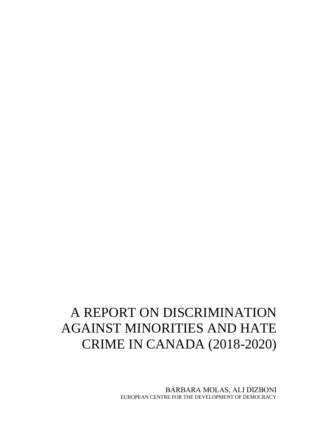# A REPORT ON DISCRIMINATION AGAINST MINORITIES AND HATE CRIME IN CANADA (2018-2020)

BÀRBARA MOLAS, ALI DIZBONI EUROPEAN CENTRE FOR THE DEVELOPMENT OF DEMOCRACY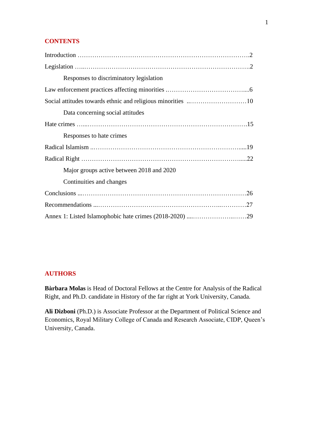# **CONTENTS**

| Responses to discriminatory legislation   |  |
|-------------------------------------------|--|
|                                           |  |
|                                           |  |
| Data concerning social attitudes          |  |
|                                           |  |
| Responses to hate crimes                  |  |
|                                           |  |
|                                           |  |
| Major groups active between 2018 and 2020 |  |
| Continuities and changes                  |  |
|                                           |  |
|                                           |  |
|                                           |  |

## **AUTHORS**

**Bàrbara Molas** is Head of Doctoral Fellows at the Centre for Analysis of the Radical Right, and Ph.D. candidate in History of the far right at York University, Canada.

**Ali Dizboni** (Ph.D.) is Associate Professor at the Department of Political Science and Economics, Royal Military College of Canada and Research Associate, CIDP, Queen's University, Canada.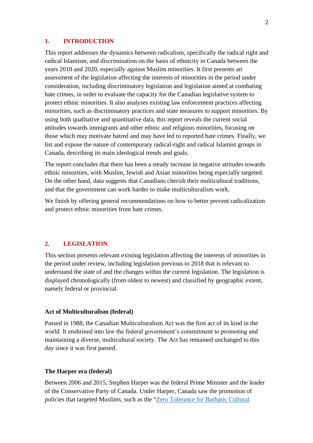## **1. INTRODUCTION**

This report addresses the dynamics between radicalism, specifically the radical right and radical Islamism, and discrimination on the basis of ethnicity in Canada between the years 2018 and 2020, especially against Muslim minorities. It first presents an assessment of the legislation affecting the interests of minorities in the period under consideration, including discriminatory legislation and legislation aimed at combating hate crimes, in order to evaluate the capacity for the Canadian legislative system to protect ethnic minorities. It also analyses existing law enforcement practices affecting minorities, such as discriminatory practices and state measures to support minorities. By using both qualitative and quantitative data, this report reveals the current social attitudes towards immigrants and other ethnic and religious minorities, focusing on those which may motivate hatred and may have led to reported hate crimes. Finally, we list and expose the nature of contemporary radical-right and radical Islamist groups in Canada, describing its main ideological trends and goals.

The report concludes that there has been a steady increase in negative attitudes towards ethnic minorities, with Muslim, Jewish and Asian minorities being especially targeted. On the other hand, data suggests that Canadians cherish their multicultural traditions, and that the government can work harder to make multiculturalism work.

We finish by offering general recommendations on how to better prevent radicalization and protect ethnic minorities from hate crimes.

#### **2. LEGISLATION**

This section presents relevant existing legislation affecting the interests of minorities in the period under review, including legislation previous to 2018 that is relevant to understand the state of and the changes within the current legislation. The legislation is displayed chronologically (from oldest to newest) and classified by geographic extent, namely federal or provincial.

#### **Act of Multiculturalism (federal)**

Passed in 1988, the Canadian Multiculturalism Act was the first act of its kind in the world. It enshrined into law the federal government's commitment to promoting and maintaining a diverse, multicultural society. The Act has remained unchanged to this day since it was first passed.

## **The Harper era (federal)**

Between 2006 and 2015, Stephen Harper was the federal Prime Minister and the leader of the Conservative Party of Canada. Under Harper, Canada saw the promotion of policies that targeted Muslims, such as the ["Zero Tolerance for Barbaric Cultural](http://laws-lois.justice.gc.ca/eng/AnnualStatutes/2015_29/page-1.html)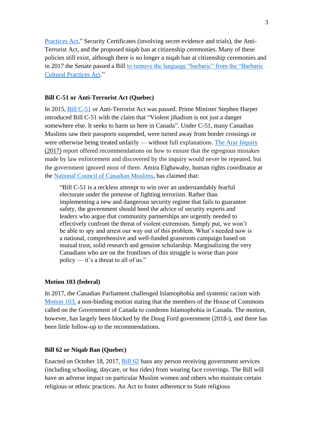[Practices Act,](http://laws-lois.justice.gc.ca/eng/AnnualStatutes/2015_29/page-1.html)" Security Certificates (involving secret evidence and trials), the Anti-Terrorist Act, and the proposed niqab ban at citizenship ceremonies. Many of these policies still exist, although there is no longer a niqab ban at citizenship ceremonies and in 2017 the Senate passed a Bill [to remove the language "barbaric" from the "Barbaric](https://nationalpost.com/news/politics/senate-passes-bill-to-remove-mention-of-barbaric-cultural-practices-from-law-passed-by-harper-conservatives)  [Cultural Practices Act.](https://nationalpost.com/news/politics/senate-passes-bill-to-remove-mention-of-barbaric-cultural-practices-from-law-passed-by-harper-conservatives)"

## **Bill C-51 or Anti-Terrorist Act (Quebec)**

In 2015, [Bill C-51](https://www.justice.gc.ca/eng/csj-sjc/pl/cuol-mgnl/c51.html) or Anti-Terrorist Act was passed. Prime Minister Stephen Harper introduced Bill C-51 with the claim that "Violent jihadism is not just a danger somewhere else. It seeks to harm us here in Canada". Under C-51, many Canadian Muslims saw their passports suspended, were turned away from border crossings or were otherwise being treated unfairly — without full explanations. [The Arar Inquiry](https://www.amnesty.ca/legal-brief/case-maher-arar) (2017) report offered recommendations on how to ensure that the egregious mistakes made by law enforcement and discovered by the inquiry would never be repeated, but the government ignored most of them. Amira Elghawaby, human rights coordinator at the [National Council of Canadian Muslims,](https://www.nccm.ca/) has claimed that:

"Bill C-51 is a reckless attempt to win over an understandably fearful electorate under the pretense of fighting terrorism. Rather than implementing a new and dangerous security regime that fails to guarantee safety, the government should heed the advice of security experts and leaders who argue that community partnerships are urgently needed to effectively confront the threat of violent extremism. Simply put, we won't be able to spy and arrest our way out of this problem. What's needed now is a national, comprehensive and well-funded grassroots campaign based on mutual trust, solid research and genuine scholarship. Marginalizing the very Canadians who are on the frontlines of this struggle is worse than poor policy — it's a threat to all of us."

#### **Motion 103 (federal)**

In 2017, the Canadian Parliament challenged Islamophobia and systemic racism with [Motion 103,](https://www.ourcommons.ca/members/en/88849/motions/8661986) a non-binding motion stating that the members of the House of Commons called on the Government of Canada to condemn Islamophobia in Canada. The motion, however, has largely been blocked by the Doug Ford government (2018-), and there has been little follow-up to the recommendations.

## **Bill 62 or Niqab Ban (Quebec)**

Enacted on October 18, 2017, [Bill 62](http://www.assnat.qc.ca/en/travaux-parlementaires/projets-loi/projet-loi-62-41-1.html?appelant=MC) bans any person receiving government services (including schooling, daycare, or bus rides) from wearing face coverings. The Bill will have an adverse impact on particular Muslim women and others who maintain certain religious or ethnic practices. An Act to foster adherence to State religious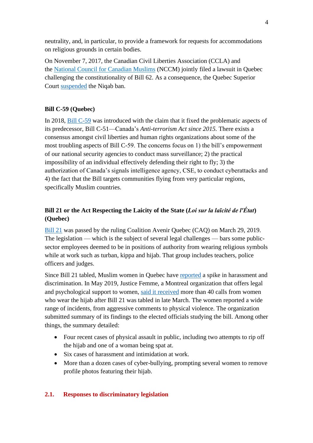neutrality, and, in particular, to provide a framework for requests for accommodations on religious grounds in certain bodies.

On November 7, 2017, the Canadian Civil Liberties Association (CCLA) and the [National Council for Canadian Muslims](https://www.nccm.ca/) (NCCM) jointly filed a lawsuit in Quebec challenging the constitutionality of Bill 62. As a consequence, the Quebec Superior Court [suspended](https://ccla.org/cclanewsite/wp-content/uploads/2017/11/2017-12-01-Judgment-on-Application-for-a-Stay-Bill-62.pdf) the Niqab ban.

# **Bill C-59 (Quebec)**

In 2018, [Bill C-59](https://www.parl.ca/DocumentViewer/en/42-1/bill/C-59/royal-assent) was introduced with the claim that it fixed the problematic aspects of its predecessor, Bill C-51—Canada's *Anti-terrorism Act since 2015.* There exists a consensus amongst civil liberties and human rights organizations about some of the most troubling aspects of Bill C-59. The concerns focus on 1) the bill's empowerment of our national security agencies to conduct mass surveillance; 2) the practical impossibility of an individual effectively defending their right to fly; 3) the authorization of Canada's signals intelligence agency, CSE, to conduct cyberattacks and 4) the fact that the Bill targets communities flying from very particular regions, specifically Muslim countries.

# **Bill 21 or the Act Respecting the Laicity of the State (***Loi sur la laïcité de l'État***) (Quebec)**

[Bill 21](https://ccla.org/bill-21/) was passed by the ruling Coalition Avenir Quebec (CAQ) on March 29, 2019. The legislation — which is the subject of several legal challenges — bars some publicsector employees deemed to be in positions of authority from wearing religious symbols while at work such as turban, kippa and hijab. That group includes teachers, police officers and judges.

Since Bill 21 tabled, Muslim women in Quebec have [reporte](https://www.cbc.ca/news/canada/montreal/muslim-women-report-spike-in-harassment-discrimination-since-bill-21-tabled-1.5134539)d a spike in harassment and discrimination. In May 2019, Justice Femme, a Montreal organization that offers legal and psychological support to women, [said it received](https://www.cbc.ca/news/canada/montreal/Muslim-women-report-spike-in-harassment-discrimination-since-bill-21tabled-1.5134539) more than 40 calls from women who wear the hijab after Bill 21 was tabled in late March. The women reported a wide range of incidents, from aggressive comments to physical violence. The organization submitted summary of its findings to the elected officials studying the bill. Among other things, the summary detailed:

- Four recent cases of physical assault in public, including two attempts to rip off the hijab and one of a woman being spat at.
- Six cases of harassment and intimidation at work.
- More than a dozen cases of cyber-bullying, prompting several women to remove profile photos featuring their hijab.

# **2.1. Responses to discriminatory legislation**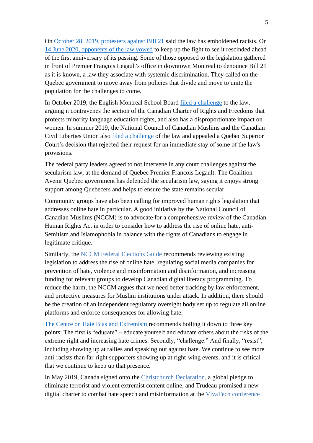On [October 28, 2019, protesters against Bill 21](https://www.nationalobserver.com/2019/10/28/news/protesters-against-bill-21-say-law-has-emboldened-racists) said the law has emboldened racists. On [14 June 2020, opponents of the law vowed](https://www.nationalobserver.com/2020/06/15/news/opponents-mark-one-year-quebecs-controversial-religious-symbols-law) to keep up the fight to see it rescinded ahead of the first anniversary of its passing. Some of those opposed to the legislation gathered in front of Premier François Legault's office in downtown Montreal to denounce Bill 21 as it is known, a law they associate with systemic discrimination. They called on the Quebec government to move away from policies that divide and move to unite the population for the challenges to come.

In October 2019, the English Montreal School Board [filed a challenge](https://www.nationalobserver.com/2019/10/25/news/english-montreal-school-board-vs-quebecs-religious-symbols-law) to the law, arguing it contravenes the section of the Canadian Charter of Rights and Freedoms that protects minority language education rights, and also has a disproportionate impact on women. In summer 2019, the National Council of Canadian Muslims and the Canadian Civil Liberties Union also [filed a challenge](https://globalnews.ca/news/6284594/quebec-appeal-court-bill-21-decision/) of the law and appealed a Quebec Superior Court's decision that rejected their request for an immediate stay of some of the law's provisions.

The federal party leaders agreed to not intervene in any court challenges against the secularism law, at the demand of Quebec Premier Francois Legault. The Coalition Avenir Quebec government has defended the secularism law, saying it enjoys strong support among Quebecers and helps to ensure the state remains secular.

Community groups have also been calling for improved human rights legislation that addresses online hate in particular. A good initiative by the National Council of Canadian Muslims (NCCM) is to advocate for a comprehensive review of the Canadian Human Rights Act in order to consider how to address the rise of online hate, anti-Semitism and Islamophobia in balance with the rights of Canadians to engage in legitimate critique.

Similarly, the NCCM Federal [Elections](https://www.nccm.ca/nccm-2019-federal-elections-policy-guide/) Guide recommends reviewing existing legislation to address the rise of online hate, regulating social media companies for prevention of hate, violence and misinformation and disinformation, and increasing funding for relevant groups to develop Canadian digital literacy programming. To reduce the harm, the NCCM argues that we need better tracking by law enforcement, and protective measures for Muslim institutions under attack. In addition, there should be the creation of an independent regulatory oversight body set up to regulate all online platforms and enforce consequences for allowing hate.

[The Centre on Hate Bias and Extremism](https://socialscienceandhumanities.ontariotechu.ca/centre-on-hate-bias-and-extremism/index.php) recommends boiling it down to three key points: The first is "educate" – educate yourself and educate others about the risks of the extreme right and increasing hate crimes. Secondly, "challenge." And finally, "resist", including showing up at rallies and speaking out against hate. We continue to see more anti-racists than far-right supporters showing up at right-wing events, and it is critical that we continue to keep up that presence.

In May 2019, Canada signed onto the [Christchurch](https://pm.gc.ca/en/news/news-releases/2019/05/15/canada-joins-christchurch-call-action-eliminate-terrorist-and-violent) Declaration, a global pledge to eliminate terrorist and violent extremist content online, and Trudeau promised a new digital charter to combat hate speech and misinformation at the VivaTech [conference](https://www.thestar.com/news/canada/2019/05/16/justin-trudeau-introduces-digital-charter-to-combat-hate-speech-misinformation.html)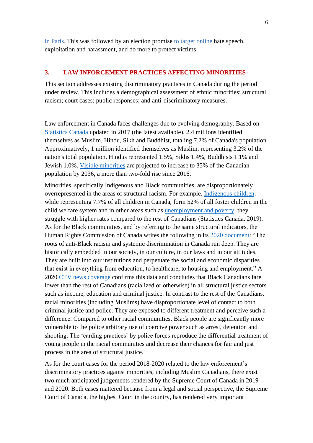[in](https://www.thestar.com/news/canada/2019/05/16/justin-trudeau-introduces-digital-charter-to-combat-hate-speech-misinformation.html) [Paris.](https://www.thestar.com/news/canada/2019/05/16/justin-trudeau-introduces-digital-charter-to-combat-hate-speech-misinformation.html) This was followed by an election promise to target [online](http://s.bl-1.com/h/cX2kkVJW?url=https://www2.liberal.ca/our-platform/online-hate-speech-exploitation-and-harassment-online/) hate speech, exploitation and harassment, and do more to protect victims.

# **3. LAW INFORCEMENT PRACTICES AFFECTING MINORITIES**

This section addresses existing discriminatory practices in Canada during the period under review. This includes a demographical assessment of ethnic minorities; structural racism; court cases; public responses; and anti-discriminatory measures.

Law enforcement in Canada faces challenges due to evolving demography. Based on [Statistics Canada](https://www.statcan.gc.ca/eng/dai/smr08/2017/smr08_219_2017) updated in 2017 (the latest available), 2.4 millions identified themselves as Muslim, Hindu, Sikh and Buddhist, totaling 7.2% of Canada's population. Approximatively, 1 million identified themselves as Muslim, representing 3.2% of the nation's total population. Hindus represented 1.5%, Sikhs 1.4%, Buddhists 1.1% and Jewish 1.0%. [Visible minorities](https://www.statcan.gc.ca/eng/dai/btd/othervisuals/other010) are projected to increase to 35% of the Canadian population by 2036, a more than two-fold rise since 2016.

Minorities, specifically Indigenous and Black communities, are disproportionately overrepresented in the areas of structural racism. For example, [Indigenous children,](https://www.sac-isc.gc.ca/eng/1100100035204/1533307858805) while representing 7.7% of all children in Canada, form 52% of all foster children in the child welfare system and in other areas such as [unemployment and poverty,](https://www150.statcan.gc.ca/n1/pub/45-28-0001/2020001/article/00085-eng.htm) they struggle with higher rates compared to the rest of Canadians (Statistics Canada, 2019). As for the Black communities, and by referring to the same structural indicators, the Human Rights Commission of Canada writes the following in its [2020 document:](https://www.chrc-ccdp.gc.ca/eng/content/statement-anti-black-racism-canada-time-face-truth) "The roots of anti-Black racism and systemic discrimination in Canada run deep. They are historically embedded in our society, in our culture, in our laws and in our attitudes. They are built into our institutions and perpetuate the social and economic disparities that exist in everything from education, to healthcare, to housing and employment." A 2020 [CTV news coverage](https://www.ctvnews.ca/canada/five-charts-that-show-what-systemic-racism-looks-like-in-canada-1.4970352) confirms this data and concludes that Black Canadians fare lower than the rest of Canadians (racialized or otherwise) in all structural justice sectors such as income, education and criminal justice. In contrast to the rest of the Canadians, racial minorities (including Muslims) have disproportionate level of contact to both criminal justice and police. They are exposed to different treatment and perceive such a difference. Compared to other racial communities, Black people are significantly more vulnerable to the police arbitrary use of coercive power such as arrest, detention and shooting. The 'carding practices' by police forces reproduce the differential treatment of young people in the racial communities and decrease their chances for fair and just process in the area of structural justice.

As for the court cases for the period 2018-2020 related to the law enforcement's discriminatory practices against minorities, including Muslim Canadians, there exist two much anticipated judgements rendered by the Supreme Court of Canada in 2019 and 2020. Both cases mattered because from a legal and social perspective, the Supreme Court of Canada, the highest Court in the country, has rendered very important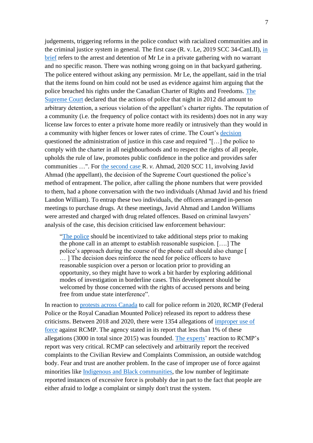judgements, triggering reforms in the police conduct with racialized communities and in the criminal justice system in general. The first case (R. v. Le, 2019 SCC 34-CanLII), [in](https://www.scc-csc.ca/case-dossier/cb/2019/37971-eng.pdf)  [brief](https://www.scc-csc.ca/case-dossier/cb/2019/37971-eng.pdf) refers to the arrest and detention of Mr Le in a private gathering with no warrant and no specific reason. There was nothing wrong going on in that backyard gathering. The police entered without asking any permission. Mr Le, the appellant, said in the trial that the items found on him could not be used as evidence against him arguing that the police breached his rights under the Canadian Charter of Rights and Freedoms. [The](https://www.cbc.ca/news/politics/supreme-court-tom-lo-1.5157377)  [Supreme Court](https://www.cbc.ca/news/politics/supreme-court-tom-lo-1.5157377) declared that the actions of police that night in 2012 did amount to arbitrary detention, a serious violation of the appellant's charter rights. The reputation of a community (i.e. the frequency of police contact with its residents) does not in any way license law forces to enter a private home more readily or intrusively than they would in a community with higher fences or lower rates of crime. The Court's [decision](https://scc-csc.lexum.com/scc-csc/scc-csc/en/item/17804/index.do) questioned the administration of justice in this case and required "[…] the police to comply with the charter in all neighbourhoods and to respect the rights of all people, upholds the rule of law, promotes public confidence in the police and provides safer communities …". For [the second case](https://www.canlii.org/en/ca/scc/doc/2020/2020scc11/2020scc11.html) R. *v*. Ahmad, 2020 SCC 11, involving Javid Ahmad (the appellant), the decision of the Supreme Court questioned the police's method of entrapment. The police, after calling the phone numbers that were provided to them, had a phone conversation with the two individuals (Ahmad Javid and his friend Landon William). To entrap these two individuals, the officers arranged in-person meetings to purchase drugs. At these meetings, Javid Ahmad and Landon Williams were arrested and charged with drug related offences. Based on criminal lawyers' analysis of the case, this decision criticised law enforcement behaviour:

["The police](https://www.weisberg.ca/reasonable-suspicion-r-v-ahmad/) should be incentivized to take additional steps prior to making the phone call in an attempt to establish reasonable suspicion. [….] The police's approach during the course of the phone call should also change [ … ] The decision does reinforce the need for police officers to have reasonable suspicion over a person or location prior to providing an opportunity, so they might have to work a bit harder by exploring additional modes of investigation in borderline cases. This development should be welcomed by those concerned with the rights of accused persons and being free from undue state interference".

In reaction to [protests across Canada](https://www.cbc.ca/news/canada/rallies-canada-police-reform-violence-1.5705197) to call for police reform in 2020, RCMP (Federal Police or the Royal Canadian Mounted Police) released its report to address these criticisms. Between 2018 and 2020, there were 1354 allegations of [improper use of](https://www.cbc.ca/news/politics/rcmp-improper-force-founded-1.5669028)  [force](https://www.cbc.ca/news/politics/rcmp-improper-force-founded-1.5669028) against RCMP. The agency stated in its report that less than 1% of these allegations (3000 in total since 2015) was founded. [The experts'](https://www.cbc.ca/news/politics/rcmp-improper-force-founded-1.5669028) reaction to RCMP's report was very critical. RCMP can selectively and arbitrarily report the received complaints to the Civilian Review and Complaints Commission, an outside watchdog body. Fear and trust are another problem. In the case of improper use of force against minorities like [Indigenous and Black communities,](https://newsinteractives.cbc.ca/fatalpoliceencounters/) the low number of legitimate reported instances of excessive force is probably due in part to the fact that people are either afraid to lodge a complaint or simply don't trust the system.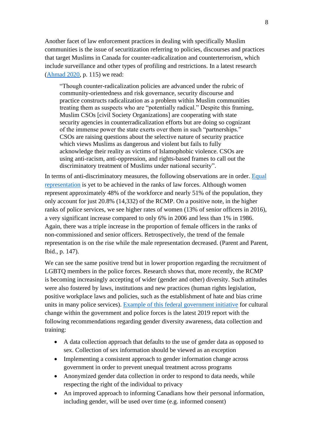Another facet of law enforcement practices in dealing with specifically Muslim communities is the issue of securitization referring to policies, discourses and practices that target Muslims in Canada for counter-radicalization and counterterrorism, which include surveillance and other types of profiling and restrictions. In a latest research [\(Ahmad](https://www.emerald.com/insight/content/doi/10.1108/S1521-613620200000025007/full/html) 2020, p. 115) we read:

"Though counter-radicalization policies are advanced under the rubric of community-orientedness and risk governance, security discourse and practice constructs radicalization as a problem within Muslim communities treating them as suspects who are "potentially radical." Despite this framing, Muslim CSOs [civil Society Organizations] are cooperating with state security agencies in counterradicalization efforts but are doing so cognizant of the immense power the state exerts over them in such "partnerships." CSOs are raising questions about the selective nature of security practice which views Muslims as dangerous and violent but fails to fully acknowledge their reality as victims of Islamophobic violence. CSOs are using anti-racism, anti-oppression, and rights-based frames to call out the discriminatory treatment of Muslims under national security".

In terms of anti-discriminatory measures, the following observations are in order. Equal [representation](https://www150.statcan.gc.ca/n1/pub/85-002-x/2018001/article/54912-eng.htm) is yet to be achieved in the ranks of law forces. Although women represent approximately 48% of the workforce and nearly 51% of the population, they only account for just 20.8% (14,332) of the RCMP. On a positive note, in the higher ranks of police services, we see higher rates of women (13% of senior officers in 2016), a very significant increase compared to only 6% in 2006 and less than 1% in 1986. Again, there was a triple increase in the proportion of female officers in the ranks of non-commissioned and senior officers. Retrospectively, the trend of the female representation is on the rise while the male representation decreased. (Parent and Parent, Ibid., p. 147).

We can see the same positive trend but in lower proportion regarding the recruitment of LGBTQ members in the police forces. Research shows that, more recently, the RCMP is becoming increasingly accepting of wider (gender and other) diversity. Such attitudes were also fostered by laws, institutions and new practices (human rights legislation, positive workplace laws and policies, such as the establishment of hate and bias crime units in many police services). [Example of this federal government initiative](https://www.canada.ca/en/privy-council/corporate/clerk/publications/sex-gender-information-federal-level.html) for cultural change within the government and police forces is the latest 2019 report with the following recommendations regarding gender diversity awareness, data collection and training:

- A data collection approach that defaults to the use of gender data as opposed to sex. Collection of sex information should be viewed as an exception
- Implementing a consistent approach to gender information change across government in order to prevent unequal treatment across programs
- Anonymized gender data collection in order to respond to data needs, while respecting the right of the individual to privacy
- An improved approach to informing Canadians how their personal information, including gender, will be used over time (e.g. informed consent)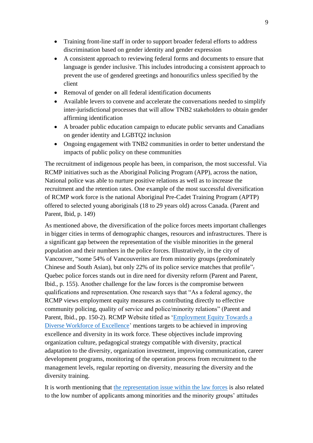- Training front-line staff in order to support broader federal efforts to address discrimination based on gender identity and gender expression
- A consistent approach to reviewing federal forms and documents to ensure that language is gender inclusive. This includes introducing a consistent approach to prevent the use of gendered greetings and honourifics unless specified by the client
- Removal of gender on all federal identification documents
- Available levers to convene and accelerate the conversations needed to simplify inter-jurisdictional processes that will allow TNB2 stakeholders to obtain gender affirming identification
- A broader public education campaign to educate public servants and Canadians on gender identity and LGBTQ2 inclusion
- Ongoing engagement with TNB2 communities in order to better understand the impacts of public policy on these communities

The recruitment of indigenous people has been, in comparison, the most successful. Via RCMP initiatives such as the Aboriginal Policing Program (APP), across the nation, National police was able to nurture positive relations as well as to increase the recruitment and the retention rates. One example of the most successful diversification of RCMP work force is the national Aboriginal Pre-Cadet Training Program (APTP) offered to selected young aboriginals (18 to 29 years old) across Canada. (Parent and Parent, Ibid, p. 149)

As mentioned above, the diversification of the police forces meets important challenges in bigger cities in terms of demographic changes, resources and infrastructures. There is a significant gap between the representation of the visible minorities in the general population and their numbers in the police forces. Illustratively, in the city of Vancouver, "some 54% of Vancouverites are from minority groups (predominately Chinese and South Asian), but only 22% of its police service matches that profile". Quebec police forces stands out in dire need for diversity reform (Parent and Parent, Ibid., p. 155). Another challenge for the law forces is the compromise between qualifications and representation. One research says that "As a federal agency, the RCMP views employment equity measures as contributing directly to effective community policing, quality of service and police/minority relations" (Parent and Parent, Ibid., pp. 150-2). RCMP Website titled as ['Employment Equity Towards a](https://www.rcmp-grc.gc.ca/ee-eme/index-eng.htm)  [Diverse Workforce of Excellence'](https://www.rcmp-grc.gc.ca/ee-eme/index-eng.htm) mentions targets to be achieved in improving excellence and diversity in its work force. These objectives include improving organization culture, pedagogical strategy compatible with diversity, practical adaptation to the diversity, organization investment, improving communication, career development programs, monitoring of the operation process from recruitment to the management levels, regular reporting on diversity, measuring the diversity and the diversity training.

It is worth mentioning that [the representation issue within the law forces](https://www.cbc.ca/news/politics/rcmp-diversity-numbers-1.5609256#:~:text=Representation%20rates%20amongst%20Mounties%20were,minorities%20and%207.5%25%20Indigenous%20Peoples&text=The%20national%20police%20force) is also related to the low number of applicants among minorities and the minority groups' attitudes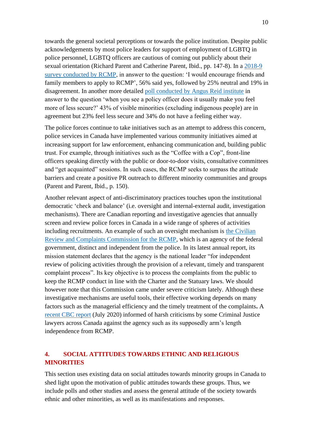towards the general societal perceptions or towards the police institution. Despite public acknowledgements by most police leaders for support of employment of LGBTQ in police personnel, LGBTQ officers are cautious of coming out publicly about their sexual orientation (Richard Parent and Catherine Parent, Ibid., pp. 147-8). In a [2018-9](https://www.rcmp-grc.gc.ca/en/canadians-views-rcmp-policing-services)  [survey conducted by RCMP,](https://www.rcmp-grc.gc.ca/en/canadians-views-rcmp-policing-services) in answer to the question: 'I would encourage friends and family members to apply to RCMP', 56% said yes, followed by 25% neutral and 19% in disagreement. In another more detailed [poll conducted by Angus Reid institute](http://angusreid.org/policing-perspectives-canada-rcmp) in answer to the question 'when you see a policy officer does it usually make you feel more of less secure?' 43% of visible minorities (excluding indigenous people) are in agreement but 23% feel less secure and 34% do not have a feeling either way.

The police forces continue to take initiatives such as an attempt to address this concern, police services in Canada have implemented various community initiatives aimed at increasing support for law enforcement, enhancing communication and, building public trust. For example, through initiatives such as the "Coffee with a Cop", front-line officers speaking directly with the public or door-to-door visits, consultative committees and "get acquainted" sessions. In such cases, the RCMP seeks to surpass the attitude barriers and create a positive PR outreach to different minority communities and groups (Parent and Parent, Ibid., p. 150).

Another relevant aspect of anti-discriminatory practices touches upon the institutional democratic 'check and balance' (i.e. oversight and internal-external audit, investigation mechanisms). There are Canadian reporting and investigative agencies that annually screen and review police forces in Canada in a wide range of spheres of activities including recruitments. An example of such an oversight mechanism is [the Civilian](https://www.crcc-ccetp.gc.ca/)  [Review and Complaints Commission for the RCMP,](https://www.crcc-ccetp.gc.ca/) which is an agency of the federal government, distinct and independent from the police. In its latest annual report, its mission statement declares that the agency is the national leader "for independent review of policing activities through the provision of a relevant, timely and transparent complaint process". Its key objective is to process the complaints from the public to keep the RCMP conduct in line with the Charter and the Statuary laws. We should however note that this Commission came under severe criticism lately. Although these investigative mechanisms are useful tools, their effective working depends on many factors such as the managerial efficiency and the timely treatment of the complaints**.** A [recent CBC report](https://www.cbc.ca/news/canada/north/civilian-review-and-complaints-commission-weak-1.5633986) (July 2020) informed of harsh criticisms by some Criminal Justice lawyers across Canada against the agency such as its supposedly arm's length independence from RCMP.

# **4. SOCIAL ATTITUDES TOWARDS ETHNIC AND RELIGIOUS MINORITIES**

This section uses existing data on social attitudes towards minority groups in Canada to shed light upon the motivation of public attitudes towards these groups. Thus, we include polls and other studies and assess the general attitude of the society towards ethnic and other minorities, as well as its manifestations and responses.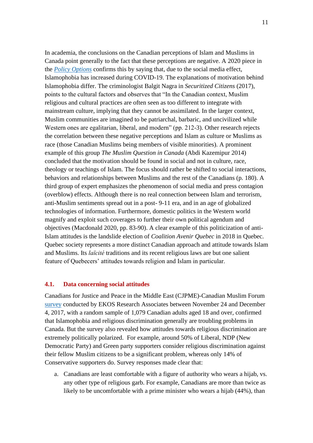In academia, the conclusions on the Canadian perceptions of Islam and Muslims in Canada point generally to the fact that these perceptions are negative. A 2020 piece in the *[Policy Options](https://policyoptions.irpp.org/magazines/october-2020/islamophobia-is-on-the-rise-during-covid-19/)* confirms this by saying that, due to the social media effect, Islamophobia has increased during COVID-19. The explanations of motivation behind Islamophobia differ. The criminologist Balgit Nagra in *Securitized Citizens* (2017), points to the cultural factors and observes that "In the Canadian context, Muslim religious and cultural practices are often seen as too different to integrate with mainstream culture, implying that they cannot be assimilated. In the larger context, Muslim communities are imagined to be patriarchal, barbaric, and uncivilized while Western ones are egalitarian, liberal, and modern" (pp. 212-3). Other research rejects the correlation between these negative perceptions and Islam as culture or Muslims as race (those Canadian Muslims being members of visible minorities). A prominent example of this group *The Muslim Question in Canada* (Abdi Kazemipur 2014) concluded that the motivation should be found in social and not in culture, race, theology or teachings of Islam. The focus should rather be shifted to social interactions, behaviors and relationships between Muslims and the rest of the Canadians (p. 180). A third group of expert emphasizes the phenomenon of social media and press contagion (overblow) effects. Although there is no real connection between Islam and terrorism, anti-Muslim sentiments spread out in a post- 9-11 era, and in an age of globalized technologies of information. Furthermore, domestic politics in the Western world magnify and exploit such coverages to further their own political agendum and objectives (Macdonald 2020, pp. 83-90). A clear example of this politicization of anti-Islam attitudes is the landslide election of *Coalition Avenir Quebec* in 2018 in Quebec. Quebec society represents a more distinct Canadian approach and attitude towards Islam and Muslims. Its *laïcité* traditions and its recent religious laws are but one salient feature of Quebecers' attitudes towards religion and Islam in particular.

# **4.1. Data concerning social attitudes**

Canadians for Justice and Peace in the Middle East (CJPME)-Canadian Muslim Forum [survey](https://d3n8a8pro7vhmx.cloudfront.net/cjpme/pages/4101/attachments/original/1517850987/CJPME-CMF_Survey_on_Islamophobia_-_2018-02-06-FINAL.pdf?1517850987) conducted by EKOS Research Associates between November 24 and December 4, 2017, with a random sample of 1,079 Canadian adults aged 18 and over, confirmed that Islamophobia and religious discrimination generally are troubling problems in Canada. But the survey also revealed how attitudes towards religious discrimination are extremely politically polarized. For example, around 50% of Liberal, NDP (New Democratic Party) and Green party supporters consider religious discrimination against their fellow Muslim citizens to be a significant problem, whereas only 14% of Conservative supporters do. Survey responses made clear that:

a. Canadians are least comfortable with a figure of authority who wears a hijab, vs. any other type of religious garb. For example, Canadians are more than twice as likely to be uncomfortable with a prime minister who wears a hijab (44%), than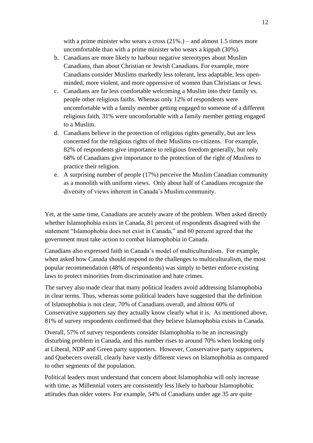with a prime minister who wears a cross  $(21\%)$  – and almost 1.5 times more uncomfortable than with a prime minister who wears a kippah (30%).

- b. Canadians are more likely to harbour negative stereotypes about Muslim Canadians, than about Christian or Jewish Canadians. For example, more Canadians consider Muslims markedly less tolerant, less adaptable, less openminded, more violent, and more oppressive of women than Christians or Jews.
- c. Canadians are far less comfortable welcoming a Muslim into their family vs. people other religious faiths. Whereas only 12% of respondents were uncomfortable with a family member getting engaged to someone of a different religious faith, 31% were uncomfortable with a family member getting engaged to a Muslim.
- d. Canadians believe in the protection of religious rights generally, but are less concerned for the religious rights of their Muslims co-citizens. For example, 82% of respondents give importance to religious freedom generally, but only 68% of Canadians give importance to the protection of the right *of Muslims* to practice their religion.
- e. A surprising number of people (17%) perceive the Muslim Canadian community as a monolith with uniform views. Only about half of Canadians recognize the diversity of views inherent in Canada's Muslim community.

Yet, at the same time, Canadians are acutely aware of the problem. When asked directly whether Islamophobia exists in Canada, 81 percent of respondents disagreed with the statement "Islamophobia does not exist in Canada," and 60 percent agreed that the government must take action to combat Islamophobia in Canada.

Canadians also expressed faith in Canada's model of multiculturalism. For example, when asked how Canada should respond to the challenges to multiculturalism, the most popular recommendation (48% of respondents) was simply to better enforce existing laws to protect minorities from discrimination and hate crimes.

The survey also made clear that many political leaders avoid addressing Islamophobia in clear terms. Thus, whereas some political leaders have suggested that the definition of Islamophobia is not clear, 70% of Canadians overall, and almost 60% of Conservative supporters say they actually know clearly what it is. As mentioned above, 81% of survey respondents confirmed that they believe Islamophobia exists in Canada.

Overall, 57% of survey respondents consider Islamophobia to be an increasingly disturbing problem in Canada, and this number rises to around 70% when looking only at Liberal, NDP and Green party supporters. However, Conservative party supporters, and Quebecers overall, clearly have vastly different views on Islamophobia as compared to other segments of the population.

Political leaders must understand that concern about Islamophobia will only increase with time, as Millennial voters are consistently less likely to harbour Islamophobic attitudes than older voters. For example, 54% of Canadians under age 35 are quite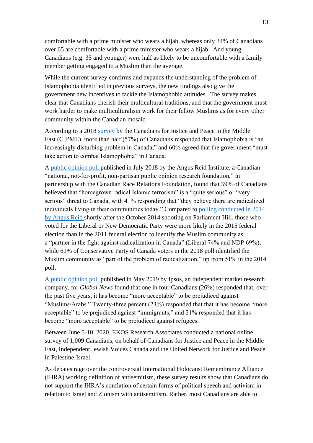comfortable with a prime minister who wears a hijab, whereas only 34% of Canadians over 65 are comfortable with a prime minister who wears a hijab. And young Canadians (e.g. 35 and younger) were half as likely to be uncomfortable with a family member getting engaged to a Muslim than the average.

While the current survey confirms and expands the understanding of the problem of Islamophobia identified in previous surveys, the new findings also give the government new incentives to tackle the Islamophobic attitudes. The survey makes clear that Canadians cherish their multicultural traditions, and that the government must work harder to make multiculturalism work for their fellow Muslims as for every other community within the Canadian mosaic.

According to a 2018 [survey](http://www.cjpme.org/islamophobia) by the Canadians for Justice and Peace in the Middle East (CJPME), more than half (57%) of Canadians responded that Islamophobia is "an increasingly disturbing problem in Canada," and 60% agreed that the government "must take action to combat Islamophobia" in Canada.

A [public opinion poll](https://crrf-fcrr.app.box.com/s/xv7uxzwet3l09v1mtdppc5xczu809sid?fbclid=IwAR1IgL_pQpKBZ3medqM2T7g4J5auODJLmp_H-3V3pTOZ9xU_0Gh15sltgRY) published in July 2018 by the Angus Reid Institute, a Canadian "national, not-for-profit, non-partisan public opinion research foundation," in partnership with the Canadian Race Relations Foundation, found that 59% of Canadians believed that "homegrown radical Islamic terrorism" is a "quite serious" or "very serious" threat to Canada, with 41% responding that "they believe there are radicalized individuals living in their communities today." Compared to [polling conducted in 2014](http://angusreid.org/homegrown-terrorism-radicalization-canada-overblown-serious-threat/)  [by Angus Reid](http://angusreid.org/homegrown-terrorism-radicalization-canada-overblown-serious-threat/) shortly after the October 2014 shooting on Parliament Hill, those who voted for the Liberal or New Democratic Party were more likely in the 2015 federal election than in the 2011 federal election to identify the Muslim community as a "partner in the fight against radicalization in Canada" (Liberal 74% and NDP 69%), while 61% of Conservative Party of Canada voters in the 2018 poll identified the Muslim community as "part of the problem of radicalization," up from 51% in the 2014 poll.

A [public opinion poll](https://globalnews.ca/news/5275557/1-in-4-canadians-acceptable-prejudice-against-muslims/?utm_medium=Facebook&utm_source=GlobalNews) published in May 2019 by Ipsos, an independent market research company, for *Global News* found that one in four Canadians (26%) responded that, over the past five years, it has become "more acceptable" to be prejudiced against "Muslims/Arabs." Twenty-three percent (23%) responded that that it has become "more acceptable" to be prejudiced against "immigrants," and 21% responded that it has become "more acceptable" to be prejudiced against refugees.

Between June 5-10, 2020, EKOS Research Associates conducted a national online survey of 1,009 Canadians, on behalf of Canadians for Justice and Peace in the Middle East, Independent Jewish Voices Canada and the United Network for Justice and Peace in Palestine-Israel.

As debates rage over the controversial International Holocaust Remembrance Alliance (IHRA) working definition of antisemitism, these survey results show that Canadians do not support the IHRA's conflation of certain forms of political speech and activism in relation to Israel and Zionism with antisemitism. Rather, most Canadians are able to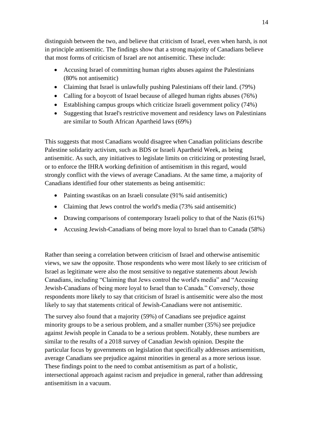distinguish between the two, and believe that criticism of Israel, even when harsh, is not in principle antisemitic. The findings show that a strong majority of Canadians believe that most forms of criticism of Israel are not antisemitic. These include:

- Accusing Israel of committing human rights abuses against the Palestinians (80% not antisemitic)
- Claiming that Israel is unlawfully pushing Palestinians off their land. (79%)
- Calling for a boycott of Israel because of alleged human rights abuses (76%)
- Establishing campus groups which criticize Israeli government policy (74%)
- Suggesting that Israel's restrictive movement and residency laws on Palestinians are similar to South African Apartheid laws (69%)

This suggests that most Canadians would disagree when Canadian politicians describe Palestine solidarity activism, such as BDS or Israeli Apartheid Week, as being antisemitic. As such, any initiatives to legislate limits on criticizing or protesting Israel, or to enforce the IHRA working definition of antisemitism in this regard, would strongly conflict with the views of average Canadians. At the same time, a majority of Canadians identified four other statements as being antisemitic:

- Painting swastikas on an Israeli consulate (91% said antisemitic)
- Claiming that Jews control the world's media (73% said antisemitic)
- Drawing comparisons of contemporary Israeli policy to that of the Nazis (61%)
- Accusing Jewish-Canadians of being more loyal to Israel than to Canada (58%)

Rather than seeing a correlation between criticism of Israel and otherwise antisemitic views, we saw the opposite. Those respondents who were most likely to see criticism of Israel as legitimate were also the most sensitive to negative statements about Jewish Canadians, including "Claiming that Jews control the world's media" and "Accusing Jewish-Canadians of being more loyal to Israel than to Canada." Conversely, those respondents more likely to say that criticism of Israel is antisemitic were also the most likely to say that statements critical of Jewish-Canadians were not antisemitic.

The survey also found that a majority (59%) of Canadians see prejudice against minority groups to be a serious problem, and a smaller number (35%) see prejudice against Jewish people in Canada to be a serious problem. Notably, these numbers are similar to the results of a 2018 survey of Canadian Jewish opinion. Despite the particular focus by governments on legislation that specifically addresses antisemitism, average Canadians see prejudice against minorities in general as a more serious issue. These findings point to the need to combat antisemitism as part of a holistic, intersectional approach against racism and prejudice in general, rather than addressing antisemitism in a vacuum.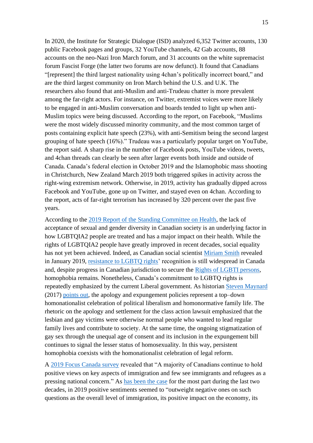In 2020, the Institute for Strategic Dialogue (ISD) analyzed 6,352 Twitter accounts, 130 public Facebook pages and groups, 32 YouTube channels, 42 Gab accounts, 88 accounts on the neo-Nazi Iron March forum, and 31 accounts on the white supremacist forum Fascist Forge (the latter two forums are now defunct). It found that Canadians "[represent] the third largest nationality using 4chan's politically incorrect board," and are the third largest community on Iron March behind the U.S. and U.K. The researchers also found that anti-Muslim and anti-Trudeau chatter is more prevalent among the far-right actors. For instance, on Twitter, extremist voices were more likely to be engaged in anti-Muslim conversation and boards tended to light up when anti-Muslim topics were being discussed. According to the report, on Facebook, "Muslims were the most widely discussed minority community, and the most common target of posts containing explicit hate speech (23%), with anti-Semitism being the second largest grouping of hate speech (16%)." Trudeau was a particularly popular target on YouTube, the report said. A sharp rise in the number of Facebook posts, YouTube videos, tweets, and 4chan threads can clearly be seen after larger events both inside and outside of Canada. Canada's federal election in October 2019 and the Islamophobic mass shooting in Christchurch, New Zealand March 2019 both triggered spikes in activity across the right-wing extremism network. Otherwise, in 2019, activity has gradually dipped across Facebook and YouTube, gone up on Twitter, and stayed even on 4chan. According to the report, acts of far-right terrorism has increased by 320 percent over the past five years.

According to the [2019 Report of the Standing Committee on Health,](https://www.ourcommons.ca/Content/Committee/421/HESA/Reports/RP10574595/hesarp28/hesarp28-e.pdf) the lack of acceptance of sexual and gender diversity in Canadian society is an underlying factor in how LGBTQIA2 people are treated and has a major impact on their health. While the rights of LGBTQIA2 people have greatly improved in recent decades, social equality has not yet been achieved. Indeed, as Canadian social scientist [Miriam Smith](https://profiles.laps.yorku.ca/profiles/mcsmith/) revealed in January 2019, [resistance to LGBTQ rights'](https://journals.sagepub.com/doi/full/10.1177/0964663918822150) recognition is still widespread in Canada and, despite progress in Canadian jurisdiction to secure the [Rights of LGBTI persons,](https://www.canada.ca/en/canadian-heritage/services/rights-lgbti-persons.html) homophobia remains. Nonetheless, Canada's commitment to LGBTQ rights is repeatedly emphasized by the current Liberal government. As historian [Steven Maynard](https://www.queensu.ca/history/people/faculty/maynard-steven) (2017) [points out,](http://activehistory.ca/2017/11/to-forgive-and-forget-homonationalism-hegemony-and-history-in-the-gay-apology/) the apology and expungement policies represent a top–down homonationalist celebration of political liberalism and homonormative family life. The rhetoric on the apology and settlement for the class action lawsuit emphasized that the lesbian and gay victims were otherwise normal people who wanted to lead regular family lives and contribute to society. At the same time, the ongoing stigmatization of gay sex through the unequal age of consent and its inclusion in the expungement bill continues to signal the lesser status of homosexuality. In this way, persistent homophobia coexists with the homonationalist celebration of legal reform.

A [2019 Focus Canada survey](https://www.environicsinstitute.org/docs/default-source/project-documents/focus-canada-spring-2019/environics-institute---focus-canada-spring-2019-survey-on-immigration-and-refugees---final-report.pdf?sfvrsn=8dd2597f_2) revealed that "A majority of Canadians continue to hold positive views on key aspects of immigration and few see immigrants and refugees as a pressing national concern." As [has been the case](https://www.cicnews.com/2019/04/majority-of-canadians-maintain-positive-views-of-immigration-new-survey-finds-0412240.html#gs.o8w35r) for the most part during the last two decades, in 2019 positive sentiments seemed to "outweight negative ones on such questions as the overall level of immigration, its positive impact on the economy, its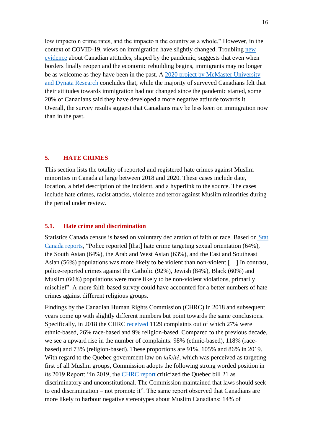low impacto n crime rates, and the impacto n the country as a whole." However, in the context of COVID-19, views on immigration have slightly changed. Troubling [new](https://www.newswire.ca/news-releases/poll-shows-the-impact-of-discrimination-on-canadian-immigrants-amid-covid-19-848855621.html)  [evidence](https://www.newswire.ca/news-releases/poll-shows-the-impact-of-discrimination-on-canadian-immigrants-amid-covid-19-848855621.html) about Canadian attitudes, shaped by the pandemic, suggests that even when borders finally reopen and the economic rebuilding begins, immigrants may no longer be as welcome as they have been in the past. A [2020 project by McMaster University](https://theconversation.com/covid-19-has-hardened-canadian-views-on-immigration-146512)  [and Dynata Research](https://theconversation.com/covid-19-has-hardened-canadian-views-on-immigration-146512) concludes that, while the majority of surveyed Canadians felt that their attitudes towards immigration had not changed since the pandemic started, some 20% of Canadians said they have developed a more negative attitude towards it. Overall, the survey results suggest that Canadians may be less keen on immigration now than in the past.

# **5. HATE CRIMES**

This section lists the totality of reported and registered hate crimes against Muslim minorities in Canada at large between 2018 and 2020. These cases include date, location, a brief description of the incident, and a hyperlink to the source. The cases include hate crimes, racist attacks, violence and terror against Muslim minorities during the period under review.

#### **5.1. Hate crime and discrimination**

Statistics Canada census is based on voluntary declaration of faith or race. Based on [Stat](https://www150.statcan.gc.ca/n1/pub/85-002-x/2020001/article/00003-eng.htm)  [Canada](https://www150.statcan.gc.ca/n1/pub/85-002-x/2020001/article/00003-eng.htm) reports, "Police reported [that] hate crime targeting sexual orientation (64%), the South Asian (64%), the Arab and West Asian (63%), and the East and Southeast Asian (56%) populations was more likely to be violent than non-violent […] In contrast, police-reported crimes against the Catholic (92%), Jewish (84%), Black (60%) and Muslim (60%) populations were more likely to be non-violent violations, primarily mischief". A more faith-based survey could have accounted for a better numbers of hate crimes against different religious groups.

Findings by the Canadian Human Rights Commission (CHRC) in 2018 and subsequent years come up with slightly different numbers but point towards the same conclusions. Specifically, in 2018 the CHRC [received](https://www.chrc-ccdp.gc.ca/eng/content/annual-report-2018) 1129 complaints out of which 27% were ethnic-based, 26% race-based and 9% religion-based. Compared to the previous decade, we see a upward rise in the number of complaints: 98% (ethnic-based), 118% (racebased) and 73% (religion-based). These proportions are 91%, 105% and 86% in 2019. With regard to the Quebec government law on *laïcité*, which was perceived as targeting first of all Muslim groups, Commission adopts the following strong worded position in its 2019 Report: "In 2019, the [CHRC report](https://chrcreport.ca/assets/pdf/chrc_ar_2019-eng.pdf) criticized the Quebec bill 21 as discriminatory and unconstitutional. The Commission maintained that laws should seek to end discrimination – not promote it". The same report observed that Canadians are more likely to harbour negative stereotypes about Muslim Canadians: 14% of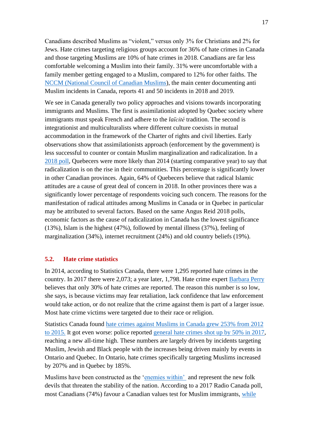Canadians described Muslims as "violent," versus only 3% for Christians and 2% for Jews. Hate crimes targeting religious groups account for 36% of hate crimes in Canada and those targeting Muslims are 10% of hate crimes in 2018. Canadians are far less comfortable welcoming a Muslim into their family. 31% were uncomfortable with a family member getting engaged to a Muslim, compared to 12% for other faiths. The [NCCM \(National Council of Canadian Muslims\)](https://www.nccm.ca/map/), the main center documenting anti Muslim incidents in Canada, reports 41 and 50 incidents in 2018 and 2019.

We see in Canada generally two policy approaches and visions towards incorporating immigrants and Muslims. The first is assimilationist adopted by Quebec society where immigrants must speak French and adhere to the *laïcité* tradition. The second is integrationist and multiculturalists where different culture coexists in mutual accommodation in the framework of the Charter of rights and civil liberties. Early observations show that assimilationists approach (enforcement by the government) is less successful to counter or contain Muslim marginalization and radicalization. In a [2018 poll,](http://angusreid.org/radicalization-homegrown-terrorism/print) Quebecers were more likely than 2014 (starting comparative year) to say that radicalization is on the rise in their communities. This percentage is significantly lower in other Canadian provinces. Again, 64% of Quebecers believe that radical Islamic attitudes are a cause of great deal of concern in 2018. In other provinces there was a significantly lower percentage of respondents voicing such concern. The reasons for the manifestation of radical attitudes among Muslims in Canada or in Quebec in particular may be attributed to several factors. Based on the same Angus Reid 2018 polls, economic factors as the cause of radicalization in Canada has the lowest significance (13%), Islam is the highest (47%), followed by mental illness (37%), feeling of marginalization (34%), internet recruitment (24%) and old country beliefs (19%).

# **5.2. Hate crime statistics**

In 2014, according to Statistics Canada, there were 1,295 reported hate crimes in the country. In 2017 there were 2,073; a year later, 1,798. Hate crime expert [Barbara Perry](https://socialscienceandhumanities.ontariotechu.ca/research/researcher-profiles/dr.-barbara-perry.php) believes that only 30% of hate crimes are reported. The reason this number is so low, she says, is because victims may fear retaliation, lack confidence that law enforcement would take action, or do not realize that the crime against them is part of a larger issue. Most hate crime victims were targeted due to their race or religion.

Statistics Canada found [hate crimes against Muslims in Canada grew 253%](https://globalnews.ca/news/3523535/hate-crimes-canada-muslim/) from 2012 [to 2015.](https://globalnews.ca/news/3523535/hate-crimes-canada-muslim/) It got even worse: police reported [general hate crimes shot up by 50% in 2017,](https://www.cbc.ca/news/canada/toronto/statistics-canada-2017-hate-crime-numbers-1.4925399) reaching a new all-time high. These numbers are largely driven by incidents targeting Muslim, Jewish and Black people with the increases being driven mainly by events in Ontario and Quebec. In Ontario, hate crimes specifically targeting Muslims increased by 207% and in Quebec by 185%.

Muslims have been constructed as the ['enemies within'](https://www.researchgate.net/publication/268087058_Constructing_the_enemies_within_Muslim_youth_and_the_racial_politics_of_Canada) and represent the new folk devils that threaten the stability of the nation. According to a 2017 Radio Canada poll, most Canadians (74%) favour a Canadian values test for Muslim immigrants, [while](https://montrealgazette.com/news/local-news/most-canadians-favour-values-test-for-immigrants-poll)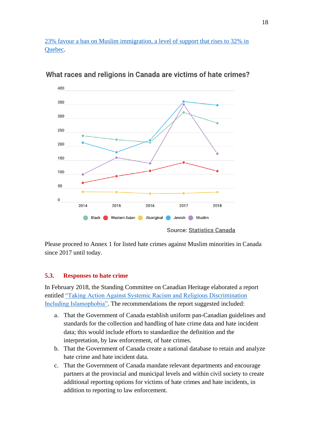23% [favour a ban on Muslim immigration, a level of support that rises to 32%](https://montrealgazette.com/news/local-news/most-canadians-favour-values-test-for-immigrants-poll) in [Quebec.](https://montrealgazette.com/news/local-news/most-canadians-favour-values-test-for-immigrants-poll)



What races and religions in Canada are victims of hate crimes?

Please proceed to Annex 1 for listed hate crimes against Muslim minorities in Canada since 2017 until today.

# **5.3. Responses to hate crime**

In February 2018, the Standing Committee on Canadian Heritage elaborated a report entitled ["Taking Action Against Systemic Racism and Religious Discrimination](https://www.ourcommons.ca/Content/Committee/421/CHPC/Reports/RP9315686/chpcrp10/chpcrp10-e.pdf)  [Including Islamophobia".](https://www.ourcommons.ca/Content/Committee/421/CHPC/Reports/RP9315686/chpcrp10/chpcrp10-e.pdf) The recommendations the report suggested included:

- a. That the Government of Canada establish uniform pan-Canadian guidelines and standards for the collection and handling of hate crime data and hate incident data; this would include efforts to standardize the definition and the interpretation, by law enforcement, of hate crimes.
- b. That the Government of Canada create a national database to retain and analyze hate crime and hate incident data.
- c. That the Government of Canada mandate relevant departments and encourage partners at the provincial and municipal levels and within civil society to create additional reporting options for victims of hate crimes and hate incidents, in addition to reporting to law enforcement.

**Source: Statistics Canada**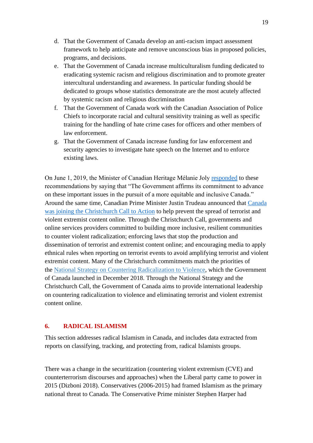- d. That the Government of Canada develop an anti-racism impact assessment framework to help anticipate and remove unconscious bias in proposed policies, programs, and decisions.
- e. That the Government of Canada increase multiculturalism funding dedicated to eradicating systemic racism and religious discrimination and to promote greater intercultural understanding and awareness. In particular funding should be dedicated to groups whose statistics demonstrate are the most acutely affected by systemic racism and religious discrimination
- f. That the Government of Canada work with the Canadian Association of Police Chiefs to incorporate racial and cultural sensitivity training as well as specific training for the handling of hate crime cases for officers and other members of law enforcement.
- g. That the Government of Canada increase funding for law enforcement and security agencies to investigate hate speech on the Internet and to enforce existing laws.

On June 1, 2019, the Minister of Canadian Heritage Mélanie Joly [responded](https://www.ourcommons.ca/content/Committee/421/CHPC/GovResponse/RP9926186/421_CHPC_Rpt10_GR/421_CHPC_Rpt10_GR-e.pdf) to these recommendations by saying that "The Government affirms its commitment to advance on these important issues in the pursuit of a more equitable and inclusive Canada." Around the same time, Canadian Prime Minister Justin Trudeau announced that [Canada](https://pm.gc.ca/en/news/news-releases/2019/05/15/canada-joins-christchurch-call-action-eliminate-terrorist-and-violent)  [was joining the Christchurch Call to Action](https://pm.gc.ca/en/news/news-releases/2019/05/15/canada-joins-christchurch-call-action-eliminate-terrorist-and-violent) to help prevent the spread of terrorist and violent extremist content online. Through the Christchurch Call, governments and online services providers committed to building more inclusive, resilient communities to counter violent radicalization; enforcing laws that stop the production and dissemination of terrorist and extremist content online; and encouraging media to apply ethnical rules when reporting on terrorist events to avoid amplifying terrorist and violent extremist content. Many of the Christchurch commitments match the priorities of the [National Strategy on Countering Radicalization to Violence,](https://www.publicsafety.gc.ca/cnt/rsrcs/pblctns/ntnl-strtg-cntrng-rdclztn-vlnc/index-en.aspx) which the Government of Canada launched in December 2018. Through the National Strategy and the Christchurch Call, the Government of Canada aims to provide international leadership on countering radicalization to violence and eliminating terrorist and violent extremist content online.

# **6. RADICAL ISLAMISM**

This section addresses radical Islamism in Canada, and includes data extracted from reports on classifying, tracking, and protecting from, radical Islamists groups.

There was a change in the securitization (countering violent extremism (CVE) and counterterrorism discourses and approaches) when the Liberal party came to power in 2015 (Dizboni 2018). Conservatives (2006-2015) had framed Islamism as the primary national threat to Canada. The Conservative Prime minister Stephen Harper had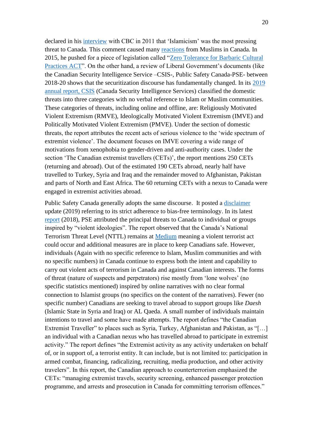declared in his [interview](https://www.cbc.ca/news/politics/harper-says-islamicism-biggest-threat-to-canada-1.1048280) with CBC in 2011 that 'Islamicism' was the most pressing threat to Canada. This comment caused many [reactions](https://www.cbc.ca/news/politics/muslim-group-wants-harper-apology-over-islamicism-remark-1.1121330) from Muslims in Canada. In 2015, he pushed for a piece of legislation called ["Zero Tolerance for Barbaric Cultural](https://laws-lois.justice.gc.ca/eng/annualstatutes/2015_29/page-1.html)  [Practices ACT"](https://laws-lois.justice.gc.ca/eng/annualstatutes/2015_29/page-1.html). On the other hand, a review of Liberal Government's documents (like the Canadian Security Intelligence Service –CSIS-, Public Safety Canada-PSE- between 2018-20 shows that the securitization discourse has fundamentally changed. In its [2019](https://www.canada.ca/en/security-intelligence-service/corporate/publications/2019-public-report.html)  [annual report, CSIS](https://www.canada.ca/en/security-intelligence-service/corporate/publications/2019-public-report.html) (Canada Security Intelligence Services) classified the domestic threats into three categories with no verbal reference to Islam or Muslim communities. These categories of threats, including online and offline, are: Religiously Motivated Violent Extremism (RMVE), Ideologically Motivated Violent Extremism (IMVE) and Politically Motivated Violent Extremism (PMVE). Under the section of domestic threats, the report attributes the recent acts of serious violence to the 'wide spectrum of extremist violence'. The document focuses on IMVE covering a wide range of motivations from xenophobia to gender-driven and anti-authority cases. Under the section 'The Canadian extremist travellers (CETs)', the report mentions 250 CETs (returning and abroad). Out of the estimated 190 CETs abroad, nearly half have travelled to Turkey, Syria and Iraq and the remainder moved to Afghanistan, Pakistan and parts of North and East Africa. The 60 returning CETs with a nexus to Canada were engaged in extremist activities abroad.

Public Safety Canada generally adopts the same discourse. It posted a [disclaimer](https://www.publicsafety.gc.ca/cnt/rsrcs/pblctns/pblc-rprt-trrrsm-thrt-cnd-2018/index-en.aspx) update (2019) referring to its strict adherence to bias-free terminology. In its latest [report](https://www.publicsafety.gc.ca/cnt/rsrcs/pblctns/pblc-rprt-trrrsm-thrt-cnd-2018/index-en.aspx) (2018), PSE attributed the principal threats to Canada to individual or groups inspired by "violent ideologies". The report observed that the Canada's National Terrorism Threat Level (NTTL) remains at [Medium](https://www.canada.ca/en/services/defence/nationalsecurity/terrorism-threat-level.html) meaning a violent terrorist act could occur and additional measures are in place to keep Canadians safe. However, individuals (Again with no specific reference to Islam, Muslim communities and with no specific numbers) in Canada continue to express both the intent and capability to carry out violent acts of terrorism in Canada and against Canadian interests. The forms of threat (nature of suspects and perpetrators) rise mostly from 'lone wolves' (no specific statistics mentioned) inspired by online narratives with no clear formal connection to Islamist groups (no specifics on the content of the narratives). Fewer (no specific number) Canadians are seeking to travel abroad to support groups like *Daesh* (Islamic State in Syria and Iraq) or AL Qaeda. A small number of individuals maintain intentions to travel and some have made attempts. The report defines "the Canadian Extremist Traveller" to places such as Syria, Turkey, Afghanistan and Pakistan, as "[…] an individual with a Canadian nexus who has travelled abroad to participate in extremist activity." The report defines "the Extremist activity as any activity undertaken on behalf of, or in support of, a terrorist entity. It can include, but is not limited to: participation in armed combat, financing, radicalizing, recruiting, media production, and other activity travelers". In this report, the Canadian approach to counterterrorism emphasized the CETs: "managing extremist travels, security screening, enhanced passenger protection programme, and arrests and prosecution in Canada for committing terrorism offences."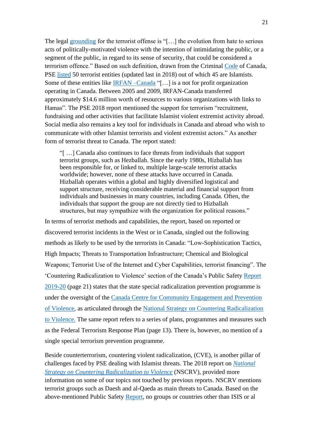The legal [grounding](https://www.publicsafety.gc.ca/cnt/rsrcs/pblctns/pblc-rprt-trrrsm-thrt-cnd-2018/pblc-rprt-trrrsm-thrt-cnd-2018-en.pdf) for the terrorist offense is "[…] the evolution from hate to serious acts of politically-motivated violence with the intention of intimidating the public, or a segment of the public, in regard to its sense of security, that could be considered a terrorism offence." Based on such definition, drawn from the Criminal [Code](https://www.justice.gc.ca/eng/rp-pr/cj-jp/victim/rr09_6/p3.html) of Canada, PSE [listed](https://www.publicsafety.gc.ca/cnt/ntnl-scrt/cntr-trrrsm/lstd-ntts/crrnt-lstd-ntts-en.aspx) 50 terrorist entities (updated last in 2018) out of which 45 are Islamists. Some of these entities like **IRFAN** – Canada "[...] is a not for profit organization operating in Canada. Between 2005 and 2009, IRFAN-Canada transferred approximately \$14.6 million worth of resources to various organizations with links to Hamas". The PSE 2018 report mentioned the support for terrorism "recruitment, fundraising and other activities that facilitate Islamist violent extremist activity abroad. Social media also remains a key tool for individuals in Canada and abroad who wish to communicate with other Islamist terrorists and violent extremist actors." As another form of terrorist threat to Canada. The report stated:

"[ …] Canada also continues to face threats from individuals that support terrorist groups, such as Hezballah. Since the early 1980s, Hizballah has been responsible for, or linked to, multiple large-scale terrorist attacks worldwide; however, none of these attacks have occurred in Canada. Hizballah operates within a global and highly diversified logistical and support structure, receiving considerable material and financial support from individuals and businesses in many countries, including Canada. Often, the individuals that support the group are not directly tied to Hizballah structures, but may sympathize with the organization for political reasons."

In terms of terrorist methods and capabilities, the report, based on reported or discovered terrorist incidents in the West or in Canada, singled out the following methods as likely to be used by the terrorists in Canada: "Low-Sophistication Tactics, High Impacts; Threats to Transportation Infrastructure; Chemical and Biological Weapons; Terrorist Use of the Internet and Cyber Capabilities, terrorist financing". The 'Countering Radicalization to Violence' section of the Canada's Public Safety [Report](https://www.publicsafety.gc.ca/cnt/rsrcs/pblctns/dprtmntl-rslts-rprt-2019-20/dprtmntl-rslts-rprt-2019-20-en.pdf)  [2019-20](https://www.publicsafety.gc.ca/cnt/rsrcs/pblctns/dprtmntl-rslts-rprt-2019-20/dprtmntl-rslts-rprt-2019-20-en.pdf) (page 21) states that the state special radicalization prevention programme is under the oversight of the [Canada Centre for Community Engagement and Prevention](https://www.publicsafety.gc.ca/cnt/bt/cc/index-en.aspx)  [of Violence,](https://www.publicsafety.gc.ca/cnt/bt/cc/index-en.aspx) as articulated through the [National Strategy on Countering Radicalization](https://www.publicsafety.gc.ca/cnt/rsrcs/pblctns/ntnl-strtg-cntrng-rdclztn-vlnc/index-en.aspx)  [to Violence.](https://www.publicsafety.gc.ca/cnt/rsrcs/pblctns/ntnl-strtg-cntrng-rdclztn-vlnc/index-en.aspx) The same report refers to a series of plans, programmes and measures such as the Federal Terrorism Response Plan (page 13). There is, however, no mention of a single special terrorism prevention programme.

Beside counterterrorism, countering violent radicalization, (CVE), is another pillar of challenges faced by PSE dealing with Islamist threats. The 2018 report on *[National](https://www.publicsafety.gc.ca/cnt/rsrcs/pblctns/ntnl-strtg-cntrng-rdclztn-vlnc/ntnl-strtg-cntrng-rdclztn-vlnc-en.pdf)  [Strategy on Countering Radicalization to Violence](https://www.publicsafety.gc.ca/cnt/rsrcs/pblctns/ntnl-strtg-cntrng-rdclztn-vlnc/ntnl-strtg-cntrng-rdclztn-vlnc-en.pdf)* (NSCRV), provided more information on some of our topics not touched by previous reports. NSCRV mentions terrorist groups such as Daesh and al-Qaeda as main threats to Canada. Based on the above-mentioned Public Safety [Report,](https://www.publicsafety.gc.ca/cnt/rsrcs/pblctns/dprtmntl-rslts-rprt-2019-20/dprtmntl-rslts-rprt-2019-20-en.pdf) no groups or countries other than ISIS or al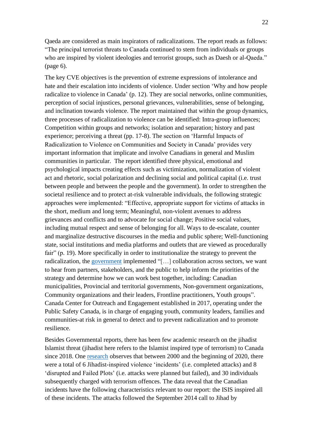Qaeda are considered as main inspirators of radicalizations. The report reads as follows: "The principal terrorist threats to Canada continued to stem from individuals or groups who are inspired by violent ideologies and terrorist groups, such as Daesh or al-Qaeda." (page 6).

The key CVE objectives is the prevention of extreme expressions of intolerance and hate and their escalation into incidents of violence. Under section 'Why and how people radicalize to violence in Canada' (p. 12). They are social networks, online communities, perception of social injustices, personal grievances, vulnerabilities, sense of belonging, and inclination towards violence. The report maintained that within the group dynamics, three processes of radicalization to violence can be identified: Intra-group influences; Competition within groups and networks; isolation and separation; history and past experience; perceiving a threat (pp. 17-8). The section on 'Harmful Impacts of Radicalization to Violence on Communities and Society in Canada' provides very important information that implicate and involve Canadians in general and Muslim communities in particular. The report identified three physical, emotional and psychological impacts creating effects such as victimization, normalization of violent act and rhetoric, social polarization and declining social and political capital (i.e. trust between people and between the people and the government). In order to strengthen the societal resilience and to protect at-risk vulnerable individuals, the following strategic approaches were implemented: "Effective, appropriate support for victims of attacks in the short, medium and long term; Meaningful, non-violent avenues to address grievances and conflicts and to advocate for social change; Positive social values, including mutual respect and sense of belonging for all. Ways to de-escalate, counter and marginalize destructive discourses in the media and public sphere; Well-functioning state, social institutions and media platforms and outlets that are viewed as procedurally fair" (p. 19). More specifically in order to institutionalize the strategy to prevent the radicalization, the [government](https://www.publicsafety.gc.ca/cnt/bt/cc/oe-en.aspx) implemented "[…] collaboration across sectors, we want to hear from partners, stakeholders, and the public to help inform the priorities of the strategy and determine how we can work best together, including: Canadian municipalities, Provincial and territorial governments, Non-government organizations, Community organizations and their leaders, Frontline practitioners, Youth groups". Canada Center for Outreach and Engagement established in 2017, operating under the Public Safety Canada, is in charge of engaging youth, community leaders, families and communities-at risk in general to detect and to prevent radicalization and to promote resilience.

Besides Governmental reports, there has been few academic research on the jihadist Islamist threat (jihadist here refers to the Islamist inspired type of terrorism) to Canada since 2018. One [research](https://www.tsas.ca/publications/domestic-jihadist-threat-to-australia-and-canada-2000-2020-an-overview/) observes that between 2000 and the beginning of 2020, there were a total of 6 Jihadist-inspired violence 'incidents' (i.e. completed attacks) and 8 'disrupted and Failed Plots' (i.e. attacks were planned but failed), and 30 individuals subsequently charged with terrorism offences. The data reveal that the Canadian incidents have the following characteristics relevant to our report: the ISIS inspired all of these incidents. The attacks followed the September 2014 call to Jihad by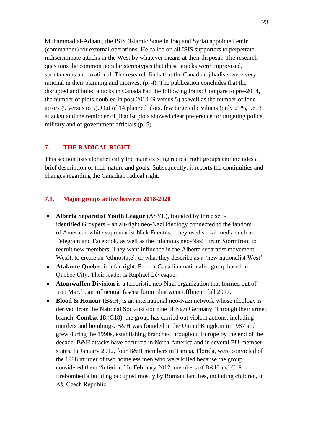Muhammad al-Adnani, the ISIS (Islamic State in Iraq and Syria) appointed emir (commander) for external operations. He called on all ISIS supporters to perpetrate indiscriminate attacks in the West by whatever means at their disposal. The research questions the common popular stereotypes that these attacks were improvised, spontaneous and irrational. The research finds that the Canadian jihadists were very rational in their planning and motives. (p. 4). The publication concludes that the disrupted and failed attacks in Canada had the following traits: Compare to pre-2014, the number of plots doubled in post 2014 (9 versus 5) as well as the number of lone actors (9 versus to 5). Out of 14 planned plots, few targeted civilians (only 21%, i.e. 3 attacks) and the reminder of jihadist plots showed clear preference for targeting police, military and or government officials (p. 5).

# **7. THE RADICAL RIGHT**

This section lists alphabetically the main existing radical right groups and includes a brief description of their nature and goals. Subsequently, it reports the continuities and changes regarding the Canadian radical right.

# **7.1. Major groups active between 2018-2020**

- **Alberta Separatist Youth League** (ASYL), founded by three selfidentified Groypers – an alt-right neo-Nazi ideology connected to the fandom of American white supremacist Nick Fuentes – they used social media such as Telegram and Facebook, as well as the infamous neo-Nazi forum Stormfront to recruit new members. They want influence in the Alberta separatist movement, Wexit, to create an 'ethnostate', or what they describe as a 'new nationalist West'.
- **Atalante Quebec** is a far-right, French-Canadian nationalist group based in Quebec City. Their leader is Raphaël Lévesque.
- **Atomwaffen Division** is a terroristic neo-Nazi organization that formed out of Iron March, an influential fascist forum that went offline in fall 2017.
- **Blood & Honour** (B&H) is an international neo-Nazi network whose ideology is derived from the National Socialist doctrine of Nazi Germany. Through their armed branch, **Combat 18** (C18), the group has carried out violent actions, including murders and bombings. B&H was founded in the United Kingdom in 1987 and grew during the 1990s, establishing branches throughout Europe by the end of the decade. B&H attacks have occurred in North America and in several EU-member states. In January 2012, four B&H members in Tampa, Florida, were convicted of the 1998 murder of two homeless men who were killed because the group considered them "inferior." In February 2012, members of B&H and C18 firebombed a building occupied mostly by Romani families, including children, in Aš, Czech Republic.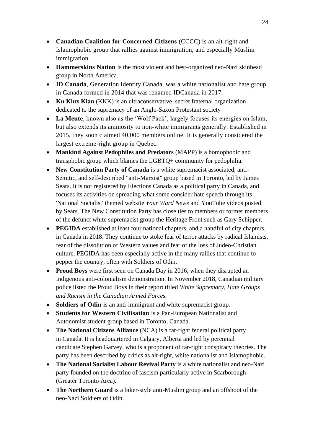- **Canadian Coalition for Concerned Citizens** (CCCC) is an alt-right and Islamophobic group that rallies against immigration, and especially Muslim immigration.
- **Hammerskins Nation** is the most violent and best-organized neo-Nazi skinhead group in North America.
- **ID Canada**, Generation Identity Canada, was a white nationalist and hate group in Canada formed in 2014 that was renamed IDCanada in 2017.
- **Ku Klux Klan** (KKK) is an ultraconservative, secret fraternal organization dedicated to the supremacy of an Anglo-Saxon Protestant society
- **La Meute**, known also as the 'Wolf Pack', largely focuses its energies on Islam, but also extends its animosity to non-white immigrants generally. Established in 2015, they soon claimed 40,000 members online. It is generally considered the largest extreme-right group in Quebec.
- **Mankind Against Pedophiles and Predators** (MAPP) is a homophobic and transphobic group which blames the LGBTQ+ community for pedophilia.
- **New Constitution Party of Canada** is a white supremacist associated, anti-Semitic, and self-described "anti-Marxist" group based in Toronto, led by James Sears. It is not registered by Elections Canada as a political party in Canada, and focuses its activities on spreading what some consider hate speech through its 'National Socialist' themed website *Your Ward News* and YouTube videos posted by Sears. The New Constitution Party has close ties to members or former members of the defunct white supremacist group the Heritage Front such as Gary Schipper.
- **PEGIDA** established at least four national chapters, and a handful of city chapters, in Canada in 2018. They continue to stoke fear of terror attacks by radical Islamists, fear of the dissolution of Western values and fear of the loss of Judeo-Christian culture. PEGIDA has been especially active in the many rallies that continue to pepper the country, often with Soldiers of Odin.
- **Proud Boys** were first seen on Canada Day in 2016, when they disrupted an Indigenous anti-colonialism demonstration. In November 2018, Canadian military police listed the Proud Boys in their report titled *White Supremacy, Hate Groups and Racism in the Canadian Armed Forces.*
- **Soldiers of Odin** is an anti-immigrant and white supremacist group.
- **Students for Western Civilisation** is a Pan-European Nationalist and Autonomist student group based in Toronto, Canada.
- **The National Citizens Alliance** (NCA) is a far-right federal political party in Canada. It is headquartered in Calgary, Alberta and led by perennial candidate Stephen Garvey, who is a proponent of far-right conspiracy theories. The party has been described by critics as alt-right, white nationalist and Islamophobic.
- **The National Socialist Labour Revival Party** is a white nationalist and neo-Nazi party founded on the doctrine of fascism particularly active in Scarborough (Greater Toronto Area).
- **The Northern Guard** is a biker-style anti-Muslim group and an offshoot of the neo-Nazi Soldiers of Odin.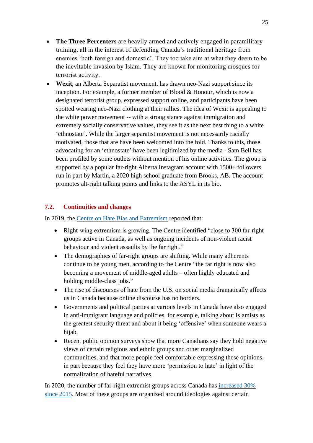- **The Three Percenters** are heavily armed and actively engaged in paramilitary training, all in the interest of defending Canada's traditional heritage from enemies 'both foreign and domestic'. They too take aim at what they deem to be the inevitable invasion by Islam. They are known for monitoring mosques for terrorist activity.
- **Wexit**, an Alberta Separatist movement, has drawn neo-Nazi support since its inception. For example, a former member of Blood & Honour, which is now a designated terrorist group, expressed support online, and participants have been spotted wearing neo-Nazi clothing at their rallies. The idea of Wexit is appealing to the white power movement -- with a strong stance against immigration and extremely socially conservative values, they see it as the next best thing to a white 'ethnostate'. While the larger separatist movement is not necessarily racially motivated, those that are have been welcomed into the fold. Thanks to this, those advocating for an 'ethnostate' have been legitimized by the media - Sam Bell has been profiled by some outlets without mention of his online activities. The group is supported by a popular far-right Alberta Instagram account with 1500+ followers run in part by Martin, a 2020 high school graduate from Brooks, AB. The account promotes alt-right talking points and links to the ASYL in its bio.

# **7.2. Continuities and changes**

In 2019, the [Centre on Hate Bias and Extremism](https://socialscienceandhumanities.ontariotechu.ca/centre-on-hate-bias-and-extremism/index.php) reported that:

- Right-wing extremism is growing. The Centre identified "close to 300 far-right groups active in Canada, as well as ongoing incidents of non-violent racist behaviour and violent assaults by the far right."
- The demographics of far-right groups are shifting. While many adherents continue to be young men, according to the Centre "the far right is now also becoming a movement of middle-aged adults – often highly educated and holding middle-class jobs."
- The rise of discourses of hate from the U.S. on social media dramatically affects us in Canada because online discourse has no borders.
- Governments and political parties at various levels in Canada have also engaged in anti-immigrant language and policies, for example, talking about Islamists as the greatest security threat and about it being 'offensive' when someone wears a hijab.
- Recent public opinion surveys show that more Canadians say they hold negative views of certain religious and ethnic groups and other marginalized communities, and that more people feel comfortable expressing these opinions, in part because they feel they have more 'permission to hate' in light of the normalization of hateful narratives.

In 2020, the number of far-right extremist groups across Canada has [increased 30%](https://www.cbc.ca/passionateeye/features/right-wing-extremist-groups-and-hate-crimes-are-growing-in-canada)  [since 2015.](https://www.cbc.ca/passionateeye/features/right-wing-extremist-groups-and-hate-crimes-are-growing-in-canada) Most of these groups are organized around ideologies against certain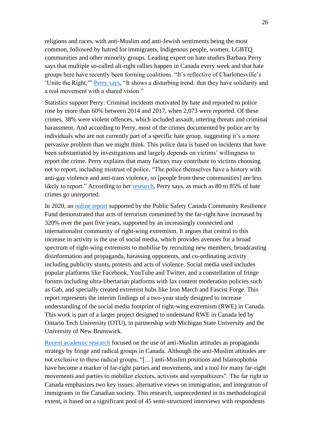religions and races, with anti-Muslim and anti-Jewish sentiments being the most common, followed by hatred for immigrants, Indigenous people, women, LGBTQ communities and other minority groups. Leading expert on hate studies Barbara Perry says that multiple so-called alt-right rallies happen in Canada every week and that hate groups here have recently been forming coalitions. "It's reflective of Charlottesville's 'Unite the Right,'" [Perry says,](https://www.cbc.ca/passionateeye/features/right-wing-extremist-groups-and-hate-crimes-are-growing-in-canada) "It shows a disturbing trend: that they have solidarity and a real movement with a shared vision."

Statistics support Perry: Criminal incidents motivated by hate and reported to police rose by more than 60% between 2014 and 2017, when 2,073 were reported. Of these crimes, 38% were violent offences, which included assault, uttering threats and criminal harassment. And according to Perry, most of the crimes documented by police are by individuals who are not currently part of a specific hate group, suggesting it's a more pervasive problem than we might think. This police data is based on incidents that have been substantiated by investigations and largely depends on victims' willingness to report the crime. Perry explains that many factors may contribute to victims choosing not to report, including mistrust of police. "The police themselves have a history with anti-gay violence and anti-trans violence, so [people from these communities] are less likely to report." According to her [research,](file:///C:/Users/Antares/Downloads/80%20to%2085%25%20of%20hate) Perry says, as much as 80 to 85% of hate crimes go unreported.

In 2020, an [online report](https://www.isdglobal.org/wp-content/uploads/2020/06/An-Online-Environmental-Scan-of-Right-wing-Extremism-in-Canada-ISD.pdf) supported by the Public Safety Canada Community Resilience Fund demonstrated that acts of terrorism committed by the far-right have increased by 320% over the past five years, supported by an increasingly connected and internationalist community of right-wing extremism. It argues that central to this increase in activity is the use of social media, which provides avenues for a broad spectrum of right-wing extremists to mobilise by recruiting new members, broadcasting disinformation and propaganda, harassing opponents, and co-ordinating activity including publicity stunts, protests and acts of violence. Social media used includes popular platforms like Facebook, YouTube and Twitter, and a constellation of fringe forums including ultra-libertarian platforms with lax content moderation policies such as Gab, and specially created extremist hubs like Iron March and Fascist Forge. This report represents the interim findings of a two-year study designed to increase understanding of the social media footprint of right-wing extremism (RWE) in Canada. This work is part of a larger project designed to understand RWE in Canada led by Ontario Tech University (OTU), in partnership with Michigan State University and the University of New Brunswick.

[Recent academic research](https://www.tsas.ca/wp-content/uploads/2019/04/RR2019_01_Campana_Tanner.pdf) focused on the use of anti-Muslim attitudes as propaganda strategy by fringe and radical groups in Canada. Although the anti-Muslim attitudes are not exclusive to these radical groups, "[…] anti-Muslim positions and Islamophobia have become a marker of far-right parties and movements, and a tool for many far-right movements and parties to mobilize electors, activists and sympathizers". The far right in Canada emphasizes two key issues: alternative views on immigration, and integration of immigrants in the Canadian society. This research, unprecedented in its methodological extent, is based on a significant pool of 45 semi-structured interviews with respondents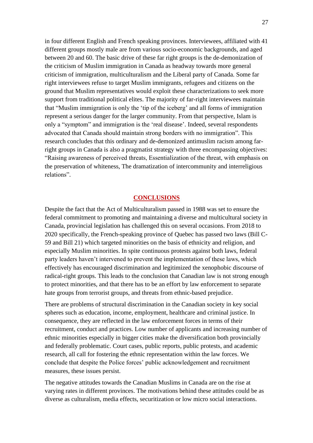in four different English and French speaking provinces. Interviewees, affiliated with 41 different groups mostly male are from various socio-economic backgrounds, and aged between 20 and 60. The basic drive of these far right groups is the de-demonization of the criticism of Muslim immigration in Canada as headway towards more general criticism of immigration, multiculturalism and the Liberal party of Canada. Some far right interviewees refuse to target Muslim immigrants, refugees and citizens on the ground that Muslim representatives would exploit these characterizations to seek more support from traditional political elites. The majority of far-right interviewees maintain that "Muslim immigration is only the 'tip of the iceberg' and all forms of immigration represent a serious danger for the larger community. From that perspective, Islam is only a "symptom" and immigration is the 'real disease'. Indeed, several respondents advocated that Canada should maintain strong borders with no immigration". This research concludes that this ordinary and de-demonized antimuslim racism among farright groups in Canada is also a pragmatist strategy with three encompassing objectives: "Raising awareness of perceived threats, Essentialization of the threat, with emphasis on the preservation of whiteness, The dramatization of intercommunity and interreligious relations".

## **CONCLUSIONS**

Despite the fact that the Act of Multiculturalism passed in 1988 was set to ensure the federal commitment to promoting and maintaining a diverse and multicultural society in Canada, provincial legislation has challenged this on several occasions. From 2018 to 2020 specifically, the French-speaking province of Quebec has passed two laws (Bill C-59 and Bill 21) which targeted minorities on the basis of ethnicity and religion, and especially Muslim minorities. In spite continuous protests against both laws, federal party leaders haven't intervened to prevent the implementation of these laws, which effectively has encouraged discrimination and legitimized the xenophobic discourse of radical-right groups. This leads to the conclusion that Canadian law is not strong enough to protect minorities, and that there has to be an effort by law enforcement to separate hate groups from terrorist groups, and threats from ethnic-based prejudice.

There are problems of structural discrimination in the Canadian society in key social spheres such as education, income, employment, healthcare and criminal justice. In consequence, they are reflected in the law enforcement forces in terms of their recruitment, conduct and practices. Low number of applicants and increasing number of ethnic minorities especially in bigger cities make the diversification both provincially and federally problematic. Court cases, public reports, public protests, and academic research, all call for fostering the ethnic representation within the law forces. We conclude that despite the Police forces' public acknowledgement and recruitment measures, these issues persist.

The negative attitudes towards the Canadian Muslims in Canada are on the rise at varying rates in different provinces. The motivations behind these attitudes could be as diverse as culturalism, media effects, securitization or low micro social interactions.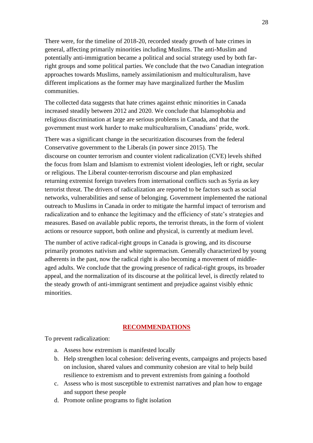There were, for the timeline of 2018-20, recorded steady growth of hate crimes in general, affecting primarily minorities including Muslims. The anti-Muslim and potentially anti-immigration became a political and social strategy used by both farright groups and some political parties. We conclude that the two Canadian integration approaches towards Muslims, namely assimilationism and multiculturalism, have different implications as the former may have marginalized further the Muslim communities.

The collected data suggests that hate crimes against ethnic minorities in Canada increased steadily between 2012 and 2020. We conclude that Islamophobia and religious discrimination at large are serious problems in Canada, and that the government must work harder to make multiculturalism, Canadians' pride, work.

There was a significant change in the securitization discourses from the federal Conservative government to the Liberals (in power since 2015). The discourse on counter terrorism and counter violent radicalization (CVE) levels shifted the focus from Islam and Islamism to extremist violent ideologies, left or right, secular or religious. The Liberal counter-terrorism discourse and plan emphasized returning extremist foreign travelers from international conflicts such as Syria as key terrorist threat. The drivers of radicalization are reported to be factors such as social networks, vulnerabilities and sense of belonging. Government implemented the national outreach to Muslims in Canada in order to mitigate the harmful impact of terrorism and radicalization and to enhance the legitimacy and the efficiency of state's strategies and measures. Based on available public reports, the terrorist threats, in the form of violent actions or resource support, both online and physical, is currently at medium level.

The number of active radical-right groups in Canada is growing, and its discourse primarily promotes nativism and white supremacism. Generally characterized by young adherents in the past, now the radical right is also becoming a movement of middleaged adults. We conclude that the growing presence of radical-right groups, its broader appeal, and the normalization of its discourse at the political level, is directly related to the steady growth of anti-immigrant sentiment and prejudice against visibly ethnic minorities.

# **RECOMMENDATIONS**

To prevent radicalization:

- a. Assess how extremism is manifested locally
- b. Help strengthen local cohesion: delivering events, campaigns and projects based on inclusion, shared values and community cohesion are vital to help build resilience to extremism and to prevent extremists from gaining a foothold
- c. Assess who is most susceptible to extremist narratives and plan how to engage and support these people
- d. Promote online programs to fight isolation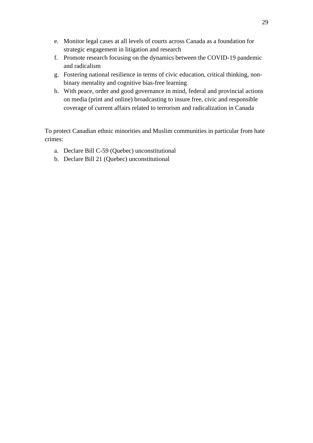- e. Monitor legal cases at all levels of courts across Canada as a foundation for strategic engagement in litigation and research
- f. Promote research focusing on the dynamics between the COVID-19 pandemic and radicalism
- g. Fostering national resilience in terms of civic education, critical thinking, nonbinary mentality and cognitive bias-free learning
- h. With peace, order and good governance in mind, federal and provincial actions on media (print and online) broadcasting to insure free, civic and responsible coverage of current affairs related to terrorism and radicalization in Canada

To protect Canadian ethnic minorities and Muslim communities in particular from hate crimes:

- a. Declare Bill C-59 (Quebec) unconstitutional
- b. Declare Bill 21 (Quebec) unconstitutional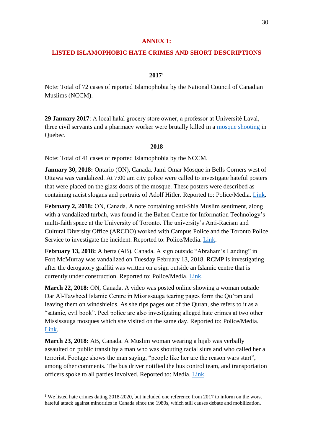## **ANNEX 1:**

## **LISTED ISLAMOPHOBIC HATE CRIMES AND SHORT DESCRIPTIONS**

#### **2017<sup>1</sup>**

Note: Total of 72 cases of reported Islamophobia by the National Council of Canadian Muslims (NCCM).

**29 January 2017**: A local halal grocery store owner, a professor at Université Laval, three civil servants and a pharmacy worker were brutally killed in a [mosque shooting](http://montrealgazette.com/news/local-news/quebec-mosque-shooting-five-remain-in-critical-condition-following-attack) in Quebec.

## **2018**

Note: Total of 41 cases of reported Islamophobia by the NCCM.

**January 30, 2018:** Ontario (ON), Canada. Jami Omar Mosque in Bells Corners west of Ottawa was vandalized. At 7:00 am city police were called to investigate hateful posters that were placed on the glass doors of the mosque. These posters were described as containing racist slogans and portraits of Adolf Hitler. Reported to: Police/Media. [Link.](http://ottawacitizen.com/news/local-news/police-probe-graffiti-at-bells-corners-mosque)

**February 2, 2018:** ON, Canada. A note containing anti-Shia Muslim sentiment, along with a vandalized turbah, was found in the Bahen Centre for Information Technology's multi-faith space at the University of Toronto. The university's Anti-Racism and Cultural Diversity Office (ARCDO) worked with Campus Police and the Toronto Police Service to investigate the incident. Reported to: Police/Media. [Link.](https://thevarsity.ca/2018/02/05/turbah-vandalized-at-bahen/)

**February 13, 2018:** Alberta (AB), Canada. A sign outside "Abraham's Landing" in Fort McMurray was vandalized on Tuesday February 13, 2018. RCMP is investigating after the derogatory graffiti was written on a sign outside an Islamic centre that is currently under construction. Reported to: Police/Media. [Link.](http://www.cbc.ca/news/canada/edmonton/fort-mcmurray-islamic-centre-graffiti-1.4534316)

**March 22, 2018:** ON, Canada. A video was posted online showing a woman outside Dar Al-Tawheed Islamic Centre in Mississauga tearing pages form the Qu'ran and leaving them on windshields. As she rips pages out of the Quran, she refers to it as a "satanic, evil book". Peel police are also investigating alleged hate crimes at two other Mississauga mosques which she visited on the same day. Reported to: Police/Media. [Link.](https://www.thestar.com/news/gta/2018/03/25/peel-police-investigating-alleged-hate-crimes-at-three-mississauga-mosques.html)

**March 23, 2018:** AB, Canada. A Muslim woman wearing a hijab was verbally assaulted on public transit by a man who was shouting racial slurs and who called her a terrorist. Footage shows the man saying, "people like her are the reason wars start", among other comments. The bus driver notified the bus control team, and transportation officers spoke to all parties involved. Reported to: Media. [Link.](http://www.660news.com/2018/03/23/disturbing-exchange-calgary-bus-captured-video-taliban-might-looking/)

<sup>&</sup>lt;sup>1</sup> We listed hate crimes dating 2018-2020, but included one reference from 2017 to inform on the worst hateful attack against minorities in Canada since the 1980s, which still causes debate and mobilization.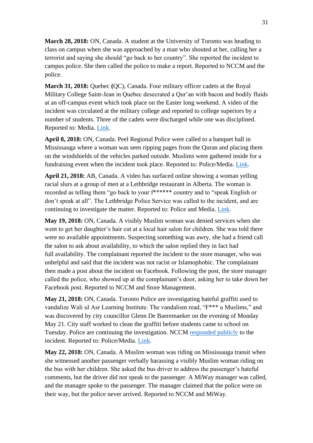**March 28, 2018:** ON, Canada. A student at the University of Toronto was heading to class on campus when she was approached by a man who shouted at her, calling her a terrorist and saying she should "go back to her country". She reported the incident to campus police. She then called the police to make a report. Reported to NCCM and the police.

**March 31, 2018:** Quebec **(**QC), Canada. Four military officer cadets at the Royal Military College Saint-Jean in Quebec desecrated a Qur'an with bacon and bodily fluids at an off-campus event which took place on the Easter long weekend. A video of the incident was circulated at the military college and reported to college superiors by a number of students. Three of the cadets were discharged while one was disciplined. Reported to: Media. [Link.](https://www.theglobeandmail.com/canada/article-military-college-students-accused-of-desecrating-koran-dealing-blow/)

**April 8, 2018:** ON, Canada. Peel Regional Police were called to a banquet hall in Mississauga where a woman was seen ripping pages from the Quran and placing them on the windshields of the vehicles parked outside. Muslims were gathered inside for a fundraising event when the incident took place. Reported to: Police/Media. [Link.](https://globalnews.ca/news/4133148/pages-from-koran-car-windshields-mississauga/)

**April 21, 2018:** AB, Canada. A video has surfaced online showing a woman yelling racial slurs at a group of men at a Lethbridge restaurant in Alberta. The woman is recorded as telling them "go back to your f\*\*\*\*\*\* country and to "speak English or don't speak at all". The Lethbridge Police Service was called to the incident, and are continuing to investigate the matter. Reported to: Police and Media. [Link.](http://www.cbc.ca/news/canada/calgary/lethbridge-racially-charged-video-1.4655338)

**May 19, 2018:** ON, Canada. A visibly Muslim woman was denied services when she went to get her daughter's hair cut at a local hair salon for children. She was told there were no available appointments. Suspecting something was awry, she had a friend call the salon to ask about availability, to which the salon replied they in fact had full availability. The complainant reported the incident to the store manager, who was unhelpful and said that the incident was not racist or Islamophobic. The complainant then made a post about the incident on Facebook. Following the post, the store manager called the police, who showed up at the complainant's door, asking her to take down her Facebook post. Reported to NCCM and Store Management.

**May 21, 2018:** ON, Canada. Toronto Police are investigating hateful graffiti used to vandalize Wali ul Asr Learning Institute. The vandalism read, "F\*\*\* u Muslims," and was discovered by city councillor Glenn De Baeremaeker on the evening of Monday May 21. City staff worked to clean the graffiti before students came to school on Tuesday. Police are continuing the investigation. NCCM [responded publicly](http://myemail.constantcontact.com/NCCM-Denounces-Islamophobic-Vandalism-at-Scarborough-School.html?soid=1114179096563&aid=VoZnYjrG924) to the incident. Reported to: Police/Media. [Link.](https://globalnews.ca/news/4222897/police-investigating-graffiti-muslim-school/)

**May 22, 2018:** ON, Canada. A Muslim woman was riding on Mississauga transit when she witnessed another passenger verbally harassing a visibly Muslim woman riding on the bus with her children. She asked the bus driver to address the passenger's hateful comments, but the driver did not speak to the passenger. A MiWay manager was called, and the manager spoke to the passenger. The manager claimed that the police were on their way, but the police never arrived. Reported to NCCM and MiWay.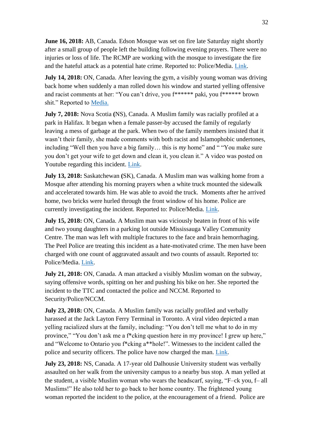**June 16, 2018:** AB, Canada. Edson Mosque was set on fire late Saturday night shortly after a small group of people left the building following evening prayers. There were no injuries or loss of life. The RCMP are working with the mosque to investigate the fire and the hateful attack as a potential hate crime. Reported to: Police/Media. [Link.](http://www.cbc.ca/news/canada/edmonton/edmonton-mosque-fire-eid-islamic-society-alberta-1.4710155%20and%20https:/www.nccm.ca/nccm-condemns-arson-attack-on-alberta-mosque/%20https:/globalnews.ca/news/4357283/edson-mosque-fire-suspect-video/)

**July 14, 2018:** ON, Canada. After leaving the gym, a visibly young woman was driving back home when suddenly a man rolled down his window and started yelling offensive and racist comments at her: "You can't drive, you f\*\*\*\*\*\* paki, you f\*\*\*\*\*\* brown shit." Reported to [Media.](https://humbernews.ca/2019/03/hijab-often-focus-of-hate-and-derision-in-canada/)

**July 7, 2018:** Nova Scotia **(**NS), Canada. A Muslim family was racially profiled at a park in Halifax. It began when a female passer-by accused the family of regularly leaving a mess of garbage at the park. When two of the family members insisted that it wasn't their family, she made comments with both racist and Islamophobic undertones, including "Well then you have a big family… this is *my* home" and " "You make sure you don't get your wife to get down and clean it, you clean it." A video was posted on Youtube regarding this incident. [Link.](https://nsadvocate.org/2018/07/24/op-ed-islamophobia-is-alive-and-well-in-nova-scotia/)

**July 13, 2018:** Saskatchewan **(**SK), Canada. A Muslim man was walking home from a Mosque after attending his morning prayers when a white truck mounted the sidewalk and accelerated towards him. He was able to avoid the truck. Moments after he arrived home, two bricks were hurled through the front window of his home. Police are currently investigating the incident. Reported to: Police/Media. [Link.](https://www.cbc.ca/news/canada/saskatoon/muslim-man-saskatoon-truck-attack-community-support-1.4757206)

**July 15, 2018:** ON, Canada. A Muslim man was viciously beaten in front of his wife and two young daughters in a parking lot outside Mississauga Valley Community Centre. The man was left with multiple fractures to the face and brain hemorrhaging. The Peel Police are treating this incident as a hate-motivated crime. The men have been charged with one count of aggravated assault and two counts of assault. Reported to: Police/Media. [Link.](https://www.cbc.ca/news/canada/toronto/hate-is-alive-here-wife-of-beaten-mississauga-man-speaks-out-after-attack-1.4751217%20and%20%20https:/www.nccm.ca/nccm-denounces-hate-motivated-assault-of-mississauga-man/)

**July 21, 2018:** ON, Canada. A man attacked a visibly Muslim woman on the subway, saying offensive words, spitting on her and pushing his bike on her. She reported the incident to the TTC and contacted the police and NCCM. Reported to Security/Police/NCCM.

**July 23, 2018:** ON, Canada. A Muslim family was racially profiled and verbally harassed at the Jack Layton Ferry Terminal in Toronto. A viral video depicted a man yelling racialized slurs at the family, including: "You don't tell me what to do in my province," "You don't ask me a f\*cking question here in my province! I grew up here," and "Welcome to Ontario you f\*cking a\*\*hole!". Witnesses to the incident called the police and security officers. The police have now charged the man. [Link.](https://www.blogto.com/city/2018/07/video-appears-show-racist-man-screaming-family-centre-island/%20https:/www.theglobeandmail.com/canada/article-police-charge-toronto-man-after-hate-motivated-rant-at-ferry-2/)

**July 23, 2018:** NS, Canada. A 17-year old Dalhousie University student was verbally assaulted on her walk from the university campus to a nearby bus stop. A man yelled at the student, a visible Muslim woman who wears the headscarf, saying, "F–ck you, f– all Muslims!" He also told her to go back to her home country. The frightened young woman reported the incident to the police, at the encouragement of a friend. Police are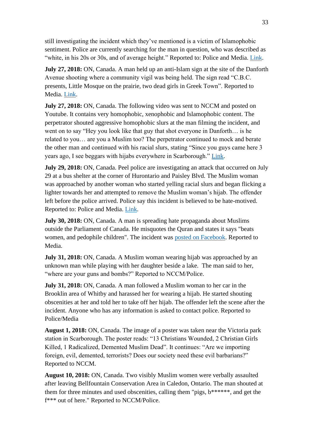still investigating the incident which they've mentioned is a victim of Islamophobic sentiment. Police are currently searching for the man in question, who was described as "white, in his 20s or 30s, and of average height." Reported to: Police and Media. [Link.](https://www.thestar.com/halifax/2018/07/25/halifax-girl-feels-shaken-after-alleged-anti-muslim-harassment.html)

**July 27, 2018:** ON, Canada. A man held up an anti-Islam sign at the site of the Danforth Avenue shooting where a community vigil was being held. The sign read "C.B.C. presents, Little Mosque on the prairie, two dead girls in Greek Town". Reported to Media. [Link.](https://globalnews.ca/news/4357966/danforth-shooting-toronto-anti-islam-protester-fountain/)

**July 27, 2018:** ON, Canada. The following video was sent to NCCM and posted on Youtube. It contains very homophobic, xenophobic and Islamophobic content. The perpetrator shouted aggressive homophobic slurs at the man filming the incident, and went on to say "Hey you look like that guy that shot everyone in Danforth… is he related to you… are you a Muslim too? The perpetrator continued to mock and berate the other man and continued with his racial slurs, stating "Since you guys came here 3 years ago, I see beggars with hijabs everywhere in Scarborough." [Link.](https://www.youtube.com/watch?v=hMbBBeA0uDw&feature=youtu.be)

**July 29, 2018:** ON, Canada. Peel police are investigating an attack that occurred on July 29 at a bus shelter at the corner of Hurontario and Paisley Blvd. The Muslim woman was approached by another woman who started yelling racial slurs and began flicking a lighter towards her and attempted to remove the Muslim woman's hijab. The offender left before the police arrived. Police say this incident is believed to be hate-motived. Reported to: Police and Media. [Link.](https://www.bramptonguardian.com/news-story/8770404--attempt-was-made-to-remove-her-hijab-another-attack-in-mississauga-investigated-as-a-hate-crime/)

**July 30, 2018:** ON, Canada. A man is spreading hate propaganda about Muslims outside the Parliament of Canada. He misquotes the Quran and states it says "beats women, and pedophile children". The incident was [posted on Facebook.](https://www.facebook.com/100002596531370/posts/1758502507579617/) Reported to Media.

**July 31, 2018:** ON, Canada. A Muslim woman wearing hijab was approached by an unknown man while playing with her daughter beside a lake. The man said to her, "where are your guns and bombs?" Reported to NCCM/Police.

**July 31, 2018:** ON, Canada. A man followed a Muslim woman to her car in the Brooklin area of Whitby and harassed her for wearing a hijab. He started shouting obscenities at her and told her to take off her hijab. The offender left the scene after the incident. Anyone who has any information is asked to contact police. Reported to Police/Media

**August 1, 2018:** ON, Canada. The image of a poster was taken near the Victoria park station in Scarborough. The poster reads: "13 Christians Wounded, 2 Christian Girls Killed, 1 Radicalized, Demented Muslim Dead". It continues: "Are we importing foreign, evil, demented, terrorists? Does our society need these evil barbarians?" Reported to NCCM.

**August 10, 2018:** ON, Canada. Two visibly Muslim women were verbally assaulted after leaving Bellfountain Conservation Area in Caledon, Ontario. The man shouted at them for three minutes and used obscenities, calling them "pigs, b\*\*\*\*\*\*, and get the f\*\*\* out of here." Reported to NCCM/Police.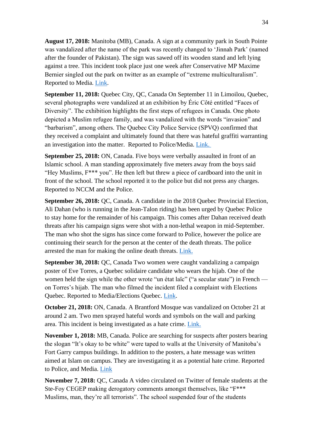**August 17, 2018:** Manitoba (MB), Canada. A sign at a community park in South Pointe was vandalized after the name of the park was recently changed to 'Jinnah Park' (named after the founder of Pakistan). The sign was sawed off its wooden stand and left lying against a tree. This incident took place just one week after Conservative MP Maxime Bernier singled out the park on twitter as an example of "extreme multiculturalism". Reported to Media. [Link.](https://www.cbc.ca/news/canada/manitoba/jinnah-park-sign-vandalized-winnipeg-1.4789917)

**September 11, 2018:** Quebec City, QC, Canada On September 11 in Limoilou, Quebec, several photographs were vandalized at an exhibition by Éric Côté entitled "Faces of Diversity". The exhibition highlights the first steps of refugees in Canada. One photo depicted a Muslim refugee family, and was vandalized with the words "invasion" and "barbarism", among others. The Quebec City Police Service (SPVQ) confirmed that they received a complaint and ultimately found that there was hateful graffiti warranting an investigation into the matter. Reported to Police/Media. [Link.](https://ici.radio-canada.ca/nouvelle/1123056/vandalisme-anti-islam-place-ephemere-pont-dorchester-quebec)

**September 25, 2018:** ON, Canada. Five boys were verbally assaulted in front of an Islamic school. A man standing approximately five meters away from the boys said "Hey Muslims, F\*\*\* you". He then left but threw a piece of cardboard into the unit in front of the school. The school reported it to the police but did not press any charges. Reported to NCCM and the Police.

**September 26, 2018:** QC, Canada. A candidate in the 2018 Quebec Provincial Election, Ali Dahan (who is running in the Jean-Talon riding) has been urged by Quebec Police to stay home for the remainder of his campaign. This comes after Dahan received death threats after his campaign signs were shot with a non-lethal weapon in mid-September. The man who shot the signs has since come forward to Police, however the police are continuing their search for the person at the center of the death threats. The police arrested the man for making the online death threats. [Link.](https://montrealgazette.com/news/local-news/quebec-election-threat-forces-quebec-city-candidate-off-campaign-trail)

**September 30, 2018:** QC, Canada Two women were caught vandalizing a campaign poster of Eve Torres, a Quebec solidaire candidate who wears the hijab. One of the women held the sign while the other wrote "un état laïc" ("a secular state") in French on Torres's hijab. The man who filmed the incident filed a complaint with Elections Quebec. Reported to Media/Elections Quebec. [Link.](https://montrealgazette.com/news/quebec-election-video-shows-two-women-vandalizing-campaign-signs)

**October 21, 2018:** ON, Canada. A Brantford Mosque was vandalized on October 21 at around 2 am. Two men sprayed hateful words and symbols on the wall and parking area. This incident is being investigated as a hate crime. [Link.](https://www.ctvnews.ca/canada/graffiti-on-brantford-ont-mosque-investigated-as-hate-crime-1.4146424)

**November 1, 2018:** MB, Canada. Police are searching for suspects after posters bearing the slogan "It's okay to be white" were taped to walls at the University of Manitoba's Fort Garry campus buildings. In addition to the posters, a hate message was written aimed at Islam on campus. They are investigating it as a potential hate crime. Reported to Police, and Media. [Link](https://www.cbc.ca/news/canada/manitoba/hate-messages-university-manitoba-campus-1.4889084)

**November 7, 2018:** QC, Canada A video circulated on Twitter of female students at the Ste-Foy CEGEP making derogatory comments amongst themselves, like "F\*\*\* Muslims, man, they're all terrorists". The school suspended four of the students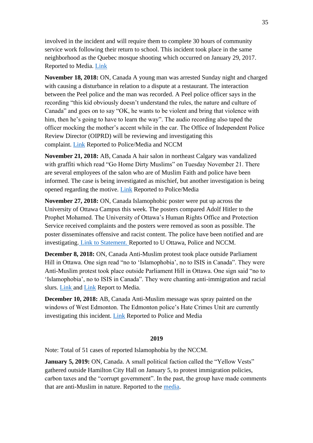involved in the incident and will require them to complete 30 hours of community service work following their return to school. This incident took place in the same neighborhood as the Quebec mosque shooting which occurred on January 29, 2017. Reported to Media. [Link](https://globalnews.ca/news/4655647/quebec-students-suspended-anti-muslim-video/)

**November 18, 2018:** ON, Canada A young man was arrested Sunday night and charged with causing a disturbance in relation to a dispute at a restaurant. The interaction between the Peel police and the man was recorded. A Peel police officer says in the recording "this kid obviously doesn't understand the rules, the nature and culture of Canada" and goes on to say "OK, he wants to be violent and bring that violence with him, then he's going to have to learn the way". The audio recording also taped the officer mocking the mother's accent while in the car. The Office of Independent Police Review Director (OIPRD) will be reviewing and investigating this complaint. [Link](https://toronto.citynews.ca/2018/11/22/peel-police-officer-video-arrest-racism/) Reported to Police/Media and NCCM

**November 21, 2018:** AB, Canada A hair salon in northeast Calgary was vandalized with graffiti which read "Go Home Dirty Muslims" on Tuesday November 21. There are several employees of the salon who are of Muslim Faith and police have been informed. The case is being investigated as mischief, but another investigation is being opened regarding the motive. [Link](https://globalnews.ca/news/4685899/calgary-hair-salon-racist-graffiti/) Reported to Police/Media

**November 27, 2018:** ON, Canada Islamophobic poster were put up across the University of Ottawa Campus this week. The posters compared Adolf Hitler to the Prophet Mohamed. The University of Ottawa's Human Rights Office and Protection Service received complaints and the posters were removed as soon as possible. The poster disseminates offensive and racist content. The police have been notified and are investigating. [Link to Statement.](https://media.uottawa.ca/statement-university-ottawa-concerning-offensive-posters-campus) Reported to U Ottawa, Police and NCCM.

**December 8, 2018:** ON, Canada Anti-Muslim protest took place outside Parliament Hill in Ottawa. One sign read "no to 'Islamophobia', no to ISIS in Canada". They were Anti-Muslim protest took place outside Parliament Hill in Ottawa. One sign said "no to 'Islamophobia', no to ISIS in Canada". They were chanting anti-immigration and racial slurs. [Link](https://www.antihate.ca/large_coalition_of_far_right_anti_muslim_groups_in_ottawa_this_weekend) and Link Report to Media.

**December 10, 2018:** AB, Canada Anti-Muslim message was spray painted on the windows of West Edmonton. The Edmonton police's Hate Crimes Unit are currently investigating this incident. [Link](https://edmonton.ctvnews.ca/police-investigating-racist-graffiti-in-west-edmonton-1.4212399) Reported to Police and Media

#### **2019**

Note: Total of 51 cases of reported Islamophobia by the NCCM.

**January 5, 2019:** ON, Canada. A small political faction called the "Yellow Vests" gathered outside Hamilton City Hall on January 5, to protest immigration policies, carbon taxes and the "corrupt government". In the past, the group have made comments that are anti-Muslim in nature. Reported to the [media.](https://www.thespec.com/news-story/9111457-groups-protest-against-each-other-at-hamilton-s-city-hall/)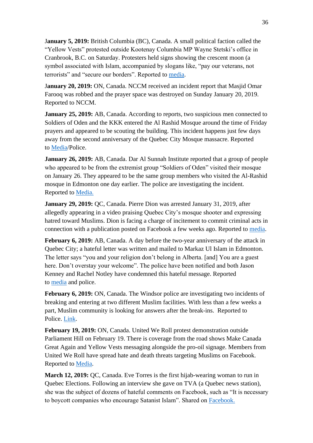J**anuary 5, 2019:** British Columbia (BC), Canada. A small political faction called the "Yellow Vests" protested outside Kootenay Columbia MP Wayne Stetski's office in Cranbrook, B.C. on Saturday. Protesters held signs showing the crescent moon (a symbol associated with Islam, accompanied by slogans like, "pay our veterans, not terrorists" and "secure our borders". Reported to [media.](https://www.trailtimes.ca/news/yellow-vest-protesters-demonstrate-in-cranbrook/)

J**anuary 20, 2019:** ON, Canada. NCCM received an incident report that Masjid Omar Farooq was robbed and the prayer space was destroyed on Sunday January 20, 2019. Reported to NCCM.

**January 25, 2019:** AB, Canada. According to reports, two suspicious men connected to Soldiers of Oden and the KKK entered the Al Rashid Mosque around the time of Friday prayers and appeared to be scouting the building. This incident happens just few days away from the second anniversary of the Quebec City Mosque massacre. Reported to [Media/](https://www.cbc.ca/news/canada/edmonton/al-rashid-mosque-police-investigating-1.4994563)Police.

**January 26, 2019:** AB, Canada. Dar Al Sunnah Institute reported that a group of people who appeared to be from the extremist group "Soldiers of Oden" visited their mosque on January 26. They appeared to be the same group members who visited the Al-Rashid mosque in Edmonton one day earlier. The police are investigating the incident. Reported to [Media.](https://www.facebook.com/CityNewsYEG/videos/906060739767304/)

**January 29, 2019:** QC, Canada. Pierre Dion was arrested January 31, 2019, after allegedly appearing in a video praising Quebec City's mosque shooter and expressing hatred toward Muslims. Dion is facing a charge of incitement to commit criminal acts in connection with a publication posted on Facebook a few weeks ago. Reported to [media.](https://www.cbc.ca/news/canada/montreal/pierre-dion-mosque-shooting-1.5002307)

**February 6, 2019:** AB, Canada. A day before the two-year anniversary of the attack in Quebec City; a hateful letter was written and mailed to Markaz Ul Islam in Edmonton. The letter says "you and your religion don't belong in Alberta. [and] You are a guest here. Don't overstay your welcome". The police have been notified and both Jason Kenney and Rachel Notley have condemned this hateful message. Reported to [media](https://www.660citynews.com/2019/02/06/ucp-and-jason-kenney-respond-to-being-named-in-a-hate-letter-found-at-an-edmonton-mosque/) and police.

**February 6, 2019:** ON, Canada. The Windsor police are investigating two incidents of breaking and entering at two different Muslim facilities. With less than a few weeks a part, Muslim community is looking for answers after the break-ins. Reported to Police. [Link.](https://blackburnnews.com/windsor/windsor-news/2019/02/06/muslim-community-windsor-looking-answers-break-ins/)

**February 19, 2019:** ON, Canada. United We Roll protest demonstration outside Parliament Hill on February 19. There is coverage from the road shows Make Canada Great Again and Yellow Vests messaging alongside the pro-oil signage. Members from United We Roll have spread hate and death threats targeting Muslims on Facebook. Reported to [Media.](https://ottawacitizen.com/news/local-news/united-we-roll-protest-what-to-expect-downtown-this-week)

**March 12, 2019:** QC, Canada. Eve Torres is the first hijab-wearing woman to run in Quebec Elections. Following an interview she gave on TVA (a Quebec news station), she was the subject of dozens of hateful comments on Facebook, such as "It is necessary to boycott companies who encourage Satanist Islam". Shared on [Facebook.](https://www.facebook.com/FFQMMF/posts/10157402217504924)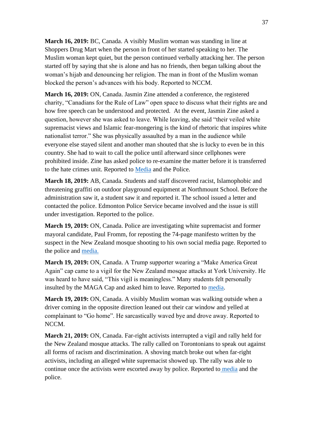**March 16, 2019:** BC, Canada. A visibly Muslim woman was standing in line at Shoppers Drug Mart when the person in front of her started speaking to her. The Muslim woman kept quiet, but the person continued verbally attacking her. The person started off by saying that she is alone and has no friends, then began talking about the woman's hijab and denouncing her religion. The man in front of the Muslim woman blocked the person's advances with his body. Reported to NCCM.

**March 16, 2019:** ON, Canada. Jasmin Zine attended a conference, the registered charity, "Canadians for the Rule of Law" open space to discuss what their rights are and how free speech can be understood and protected. At the event, Jasmin Zine asked a question, however she was asked to leave. While leaving, she said "their veiled white supremacist views and Islamic fear-mongering is the kind of rhetoric that inspires white nationalist terror." She was physically assaulted by a man in the audience while everyone else stayed silent and another man shouted that she is lucky to even be in this country. She had to wait to call the police until afterward since cellphones were prohibited inside. Zine has asked police to re-examine the matter before it is transferred to the hate crimes unit. Reported to [Media](https://nationalpost.com/news/canada/i-had-a-front-row-seat-to-hate-and-was-physically-assaulted-the-liberal-washing-of-white-nationalism-2) and the Police.

**March 18, 2019:** AB, Canada. Students and staff discovered racist, Islamophobic and threatening graffiti on outdoor playground equipment at Northmount School. Before the administration saw it, a student saw it and reported it. The school issued a letter and contacted the police. Edmonton Police Service became involved and the issue is still under investigation. Reported to the police.

**March 19, 2019:** ON, Canada. Police are investigating white supremacist and former mayoral candidate, Paul Fromm, for reposting the 74-page manifesto written by the suspect in the New Zealand mosque shooting to his own social media page. Reported to the police and [media.](https://www.chch.com/hamilton-police-investigate-after-white-supremacist-posts-suspected-gunman-manifesto/)

**March 19, 2019:** ON, Canada. A Trump supporter wearing a "Make America Great Again" cap came to a vigil for the New Zealand mosque attacks at York University. He was heard to have said, "This vigil is meaningless." Many students felt personally insulted by the MAGA Cap and asked him to leave. Reported to [media.](https://www.narcity.com/ca/on/toronto/news/york-u-student-wearing-maga-hat-causes-disruption-at-new-zealand-massacre-vigil-video)

**March 19, 2019:** ON, Canada. A visibly Muslim woman was walking outside when a driver coming in the opposite direction leaned out their car window and yelled at complainant to "Go home". He sarcastically waved bye and drove away. Reported to NCCM.

**March 21, 2019:** ON, Canada. Far-right activists interrupted a vigil and rally held for the New Zealand mosque attacks. The rally called on Torontonians to speak out against all forms of racism and discrimination. A shoving match broke out when far-right activists, including an alleged white supremacist showed up. The rally was able to continue once the activists were escorted away by police. Reported to [media](https://www.680news.com/2019/03/21/scuffle-breaks-out-at-anti-racism-event-in-toronto/) and the police.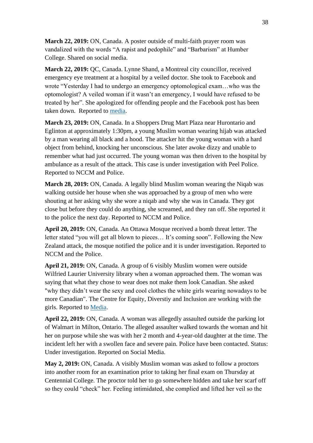**March 22, 2019:** ON, Canada. A poster outside of multi-faith prayer room was vandalized with the words "A rapist and pedophile" and "Barbarism" at Humber College. Shared on social media.

**March 22, 2019:** QC, Canada. Lynne Shand, a Montreal city councillor, received emergency eye treatment at a hospital by a veiled doctor. She took to Facebook and wrote "Yesterday I had to undergo an emergency optomological exam…who was the optomologist? A veiled woman if it wasn't an emergency, I would have refused to be treated by her". She apologized for offending people and the Facebook post has been taken down. Reported to [media.](https://winnipeg.citynews.ca/video/2019/03/25/anjou-councillor-apologizes-for-islamophobic-facebook-post/)

**March 23, 2019:** ON, Canada. In a Shoppers Drug Mart Plaza near Hurontario and Eglinton at approximately 1:30pm, a young Muslim woman wearing hijab was attacked by a man wearing all black and a hood. The attacker hit the young woman with a hard object from behind, knocking her unconscious. She later awoke dizzy and unable to remember what had just occurred. The young woman was then driven to the hospital by ambulance as a result of the attack. This case is under investigation with Peel Police. Reported to NCCM and Police.

**March 28, 2019:** ON, Canada. A legally blind Muslim woman wearing the Niqab was walking outside her house when she was approached by a group of men who were shouting at her asking why she wore a niqab and why she was in Canada. They got close but before they could do anything, she screamed, and they ran off. She reported it to the police the next day. Reported to NCCM and Police.

**April 20, 2019:** ON, Canada. An Ottawa Mosque received a bomb threat letter. The letter stated "you will get all blown to pieces… It's coming soon". Following the New Zealand attack, the mosque notified the police and it is under investigation. Reported to NCCM and the Police.

**April 21, 2019:** ON, Canada. A group of 6 visibly Muslim women were outside Wilfried Laurier University library when a woman approached them. The woman was saying that what they chose to wear does not make them look Canadian. She asked "why they didn't wear the sexy and cool clothes the white girls wearing nowadays to be more Canadian". The Centre for Equity, Diverstiy and Inclusion are working with the girls. Reported to [Media.](https://globalnews.ca/video/5200201/how-to-ask-about-the-hijab-respectfully?fbclid=IwAR05OBUNEonzD_HWvtF28XekSR1KBLa5IFIVMjsmArXmrZdGQy_HF9gzKc8)

**April 22, 2019:** ON, Canada. A woman was allegedly assaulted outside the parking lot of Walmart in Milton, Ontario. The alleged assaulter walked towards the woman and hit her on purpose while she was with her 2 month and 4-year-old daughter at the time. The incident left her with a swollen face and severe pain. Police have been contacted. Status: Under investigation. Reported on Social Media.

**May 2, 2019:** ON, Canada. A visibly Muslim woman was asked to follow a proctors into another room for an examination prior to taking her final exam on Thursday at Centennial College. The proctor told her to go somewhere hidden and take her scarf off so they could "check" her. Feeling intimidated, she complied and lifted her veil so the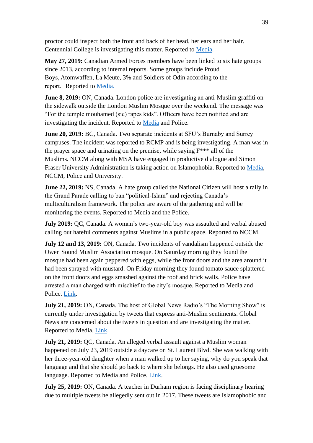proctor could inspect both the front and back of her head, her ears and her hair. Centennial College is investigating this matter. Reported to [Media.](https://www.660citynews.com/2019/05/05/woman-says-she-was-subjected-to-hijab-screening-before-exam/)

**May 27, 2019:** Canadian Armed Forces members have been linked to six hate groups since 2013, according to internal reports. Some groups include Proud Boys, Atomwaffen, La Meute, 3% and Soldiers of Odin according to the report.   Reported to [Media.](https://globalnews.ca/news/5322011/canadian-armed-forces-members-linked-to-six-hate-groups-internal-report/)

**June 8, 2019:** ON, Canada. London police are investigating an anti-Muslim graffiti on the sidewalk outside the London Muslim Mosque over the weekend. The message was "For the temple mouhamed (sic) rapes kids". Officers have been notified and are investigating the incident. Reported to [Media](https://globalnews.ca/news/5383187/police-islamophobic-graffiti-london-muslim-mosque/) and Police.

**June 20, 2019:** BC, Canada. Two separate incidents at SFU's Burnaby and Surrey campuses. The incident was reported to RCMP and is being investigating. A man was in the prayer space and urinating on the premise, while saying F\*\*\* all of the Muslims. NCCM along with MSA have engaged in productive dialogue and Simon Fraser University Administration is taking action on Islamophobia. Reported to [Media,](https://www.citynews1130.com/2019/06/20/separate-incidents-in-muslim-prayer-areas-at-sfu-burnaby-surrey-campuses/) NCCM, Police and University.

**June 22, 2019:** NS, Canada. A hate group called the National Citizen will host a rally in the Grand Parade calling to ban "political-Islam" and rejecting Canada's multiculturalism framework. The police are aware of the gathering and will be monitoring the events. Reported to Media and the Police.

**July 2019:** QC, Canada. A woman's two-year-old boy was assaulted and verbal abused calling out hateful comments against Muslims in a public space. Reported to NCCM.

**July 12 and 13, 2019:** ON, Canada. Two incidents of vandalism happened outside the Owen Sound Muslim Association mosque. On Saturday morning they found the mosque had been again peppered with eggs, while the front doors and the area around it had been sprayed with mustard. On Friday morning they found tomato sauce splattered on the front doors and eggs smashed against the roof and brick walls. Police have arrested a man charged with mischief to the city's mosque. Reported to Media and Police. [Link.](https://www.owensoundsuntimes.com/news/local-news/second-night-of-vandalism-at-mosque-in-owen-sound)

**July 21, 2019:** ON, Canada. The host of Global News Radio's "The Morning Show" is currently under investigation by tweets that express anti-Muslim sentiments. Global News are concerned about the tweets in question and are investigating the matter. Reported to Media. [Link.](https://www.narcity.com/news/ca/on/toronto/michael-stafford-is-getting-called-out-for-tweeting-and-deleting-racist-comments)

**July 21, 2019:** QC, Canada. An alleged verbal assault against a Muslim woman happened on July 23, 2019 outside a daycare on St. Laurent Blvd. She was walking with her three-year-old daughter when a man walked up to her saying, why do you speak that language and that she should go back to where she belongs. He also used gruesome language. Reported to Media and Police. [Link.](https://globalnews.ca/news/5684947/montreal-woman-alleges-assault-montreal/)

**July 25, 2019:** ON, Canada. A teacher in Durham region is facing disciplinary hearing due to multiple tweets he allegedly sent out in 2017. These tweets are Islamophobic and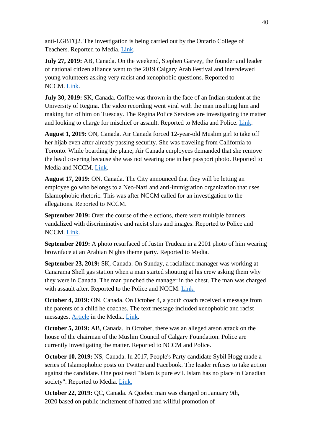anti-LGBTQ2. The investigation is being carried out by the Ontario College of Teachers. Reported to Media. [Link.](https://globalnews.ca/news/5685099/durham-teacher-inappropriate-tweets/)

**July 27, 2019:** AB, Canada. On the weekend, Stephen Garvey, the founder and leader of national citizen alliance went to the 2019 Calgary Arab Festival and interviewed young volunteers asking very racist and xenophobic questions. Reported to NCCM. [Link.](https://www.cbc.ca/news/canada/edmonton/red-deer-high-school-protest-anti-syrian-refugee-school-fight-controversy-1.4127344?fbclid=IwAR3IWSt3uALekMHcqj7KQbYxprx_Ek6mEo6H7OKzLYQXvxP0IuWFy0p5O78)

**July 30, 2019:** SK, Canada. Coffee was thrown in the face of an Indian student at the University of Regina. The video recording went viral with the man insulting him and making fun of him on Tuesday. The Regina Police Services are investigating the matter and looking to charge for mischief or assault. Reported to Media and Police. [Link.](https://www.voiceonline.com/coffee-thrown-in-face-of-indian-student-at-university-of-regina/)

**August 1, 2019:** ON, Canada. Air Canada forced 12-year-old Muslim girl to take off her hijab even after already passing security. She was traveling from California to Toronto. While boarding the plane, Air Canada employees demanded that she remove the head covering because she was not wearing one in her passport photo. Reported to Media and NCCM. [Link.](https://edmontonjournal.com/news/canada/air-canada-forced-12-year-old-muslim-girl-to-take-off-her-hijab-after-already-passing-security/wcm/44ed91d6-c824-441a-be25-a32d05fa73a0?fbclid=IwAR0OKj-ZVOJRuNYHoy4-rymHZNFo6Eu4C2M3amd-pdzYHubm1d52IDtkwKM)

**August 17, 2019:** ON, Canada. The City announced that they will be letting an employee go who belongs to a Neo-Nazi and anti-immigration organization that uses Islamophobic rhetoric. This was after NCCM called for an investigation to the allegations. Reported to NCCM.

**September 2019:** Over the course of the elections, there were multiple banners vandalized with discriminative and racist slurs and images. Reported to Police and NCCM. [Link.](https://dailyhive.com/toronto/liberal-candidate-campaign-signs-lit-on-fire)

**September 2019:** A photo resurfaced of Justin Trudeau in a 2001 photo of him wearing brownface at an Arabian Nights theme party. Reported to Media.

**September 23, 2019:** SK, Canada. On Sunday, a racialized manager was working at Canarama Shell gas station when a man started shouting at his crew asking them why they were in Canada. The man punched the manager in the chest. The man was charged with assault after. Reported to the Police and NCCM. [Link.](https://www.cbc.ca/news/canada/saskatoon/saskatoon-gas-assault-mischief-1.5294412?fbclid=IwAR3ZOd_-XYFUeTDfbdWSUBdEpSRHKnLGJEbwGea0wNGaFgVYqQIHMB9f4nU)

**October 4, 2019:** ON, Canada. On October 4, a youth coach received a message from the parents of a child he coaches. The text message included xenophobic and racist messages. [Article](https://sports.yahoo.com/youth-hockey-coach-speaks-out-after-receiving-racist-message-from-parent-172309751.html?guccounter=1) in the Media. [Link.](https://twitter.com/flowseidon65/status/1182737139991302144?ref_src=twsrc%5Etfw%7Ctwcamp%5Etweetembed%7Ctwterm%5E1182737139991302144&ref_url=https%3A%2F%2Fsports.yahoo.com%2Fyouth-hockey-coach-speaks-out-after-receiving-racist-message-from-parent-172309751.html)

**October 5, 2019:** AB, Canada. In October, there was an alleged arson attack on the house of the chairman of the Muslim Council of Calgary Foundation. Police are currently investigating the matter. Reported to NCCM and Police.

**October 10, 2019:** NS, Canada. In 2017, People's Party candidate Sybil Hogg made a series of Islamophobic posts on Twitter and Facebook. The leader refuses to take action against the candidate. One post read "Islam is pure evil. Islam has no place in Canadian society". Reported to Media. [Link.](https://www.cbc.ca/news/politics/peoples-party-nova-scotia-hogg-bernier-islam-social-media-posts-1.5315943?fbclid=IwAR2bTWsGu0kUK2I5GcUDnV5gNymbj1mjIB_zfNhHsEas8StHxgC_EOCC72w)

**October 22, 2019:** QC, Canada. A Quebec man was charged on January 9th, 2020 based on public incitement of hatred and willful promotion of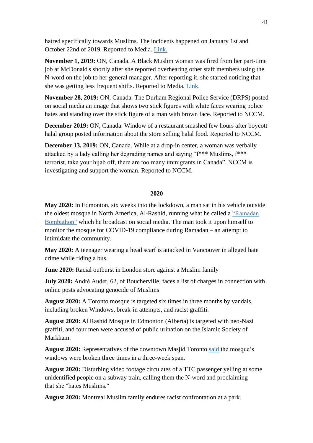hatred specifically towards Muslims. The incidents happened on January 1st and October 22nd of 2019. Reported to Media. [Link.](https://www.thestar.com/news/canada/2020/01/17/man-charged-in-connection-to-online-threats-aimed-at-trudeau-and-muslims.html)

**November 1, 2019:** ON, Canada. A Black Muslim woman was fired from her part-time job at McDonald's shortly after she reported overhearing other staff members using the N-word on the job to her general manager. After reporting it, she started noticing that she was getting less frequent shifts. Reported to Media. [Link.](https://www.cbc.ca/amp/1.5341465?fbclid=IwAR1tANji0PLWdAmJx6Jr5jf3MN5N97qcWRliXcujfnLVvVrtVgIMW-UsLwY)

**November 28, 2019:** ON, Canada. The Durham Regional Police Service (DRPS) posted on social media an image that shows two stick figures with white faces wearing police hates and standing over the stick figure of a man with brown face. Reported to NCCM.

**December 2019:** ON, Canada. Window of a restaurant smashed few hours after boycott halal group posted information about the store selling halal food. Reported to NCCM.

**December 13, 2019:** ON, Canada. While at a drop-in center, a woman was verbally attacked by a lady calling her degrading names and saying "f\*\*\* Muslims, f\*\*\* terrorist, take your hijab off, there are too many immigrants in Canada". NCCM is investigating and support the woman. Reported to NCCM.

#### **2020**

**May 2020:** In Edmonton, six weeks into the lockdown, a man sat in his vehicle outside the oldest mosque in North America, Al-Rashid, running what he called a ["Ramadan](https://www.cbc.ca/news/canada/edmonton/ramadan-bombathon-edmonton-mosque-far-right-extremists-police-charges-1.5564323) [Bombathon"](https://www.cbc.ca/news/canada/edmonton/ramadan-bombathon-edmonton-mosque-far-right-extremists-police-charges-1.5564323) which he broadcast on social media. The man took it upon himself to monitor the mosque for COVID-19 compliance during Ramadan – an attempt to intimidate the community.

**May 2020:** A teenager wearing a head scarf is attacked in Vancouver in alleged hate crime while riding a bus.

**June 2020:** Racial outburst in London store against a Muslim family

**July 2020:** André Audet, 62, of Boucherville, faces a list of charges in connection with online posts advocating genocide of Muslims

**August 2020:** A Toronto mosque is targeted six times in three months by vandals, including broken Windows, break-in attempts, and racist graffiti.

**August 2020:** Al Rashid Mosque in Edmonton (Alberta) is targeted with neo-Nazi graffiti, and four men were accused of public urination on the Islamic Society of Markham.

**August 2020:** Representatives of the downtown Masjid Toronto [said](https://www.aljazeera.com/news/2020/08/toronto-muslims-mosque-attacks-investigated-hate-related-200819190047243.html) the mosque's windows were broken three times in a three-week span.

**August 2020:** Disturbing video footage circulates of a TTC passenger yelling at some unidentified people on a subway train, calling them the N-word and proclaiming that she "hates Muslims."

**August 2020:** Montreal Muslim family endures racist confrontation at a park.